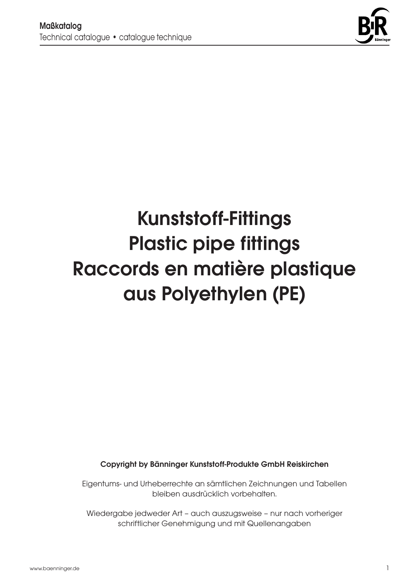

# Kunststoff-Fittings Plastic pipe fittings Raccords en matière plastique aus Polyethylen (PE)

Copyright by Bänninger Kunststoff-Produkte GmbH Reiskirchen

Eigentums- und Urheberrechte an sämtlichen Zeichnungen und Tabellen bleiben ausdrücklich vorbehalten.

Wiedergabe jedweder Art – auch auszugsweise – nur nach vorheriger schriftlicher Genehmigung und mit Quellenangaben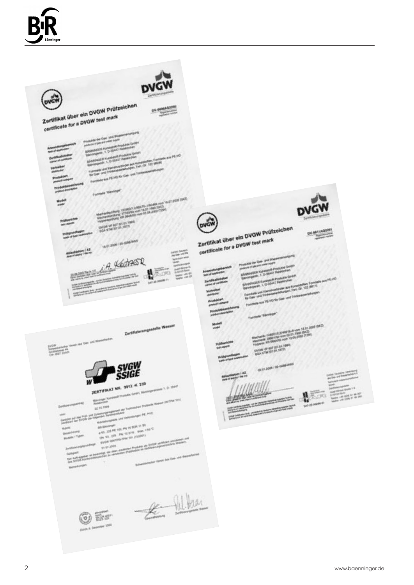

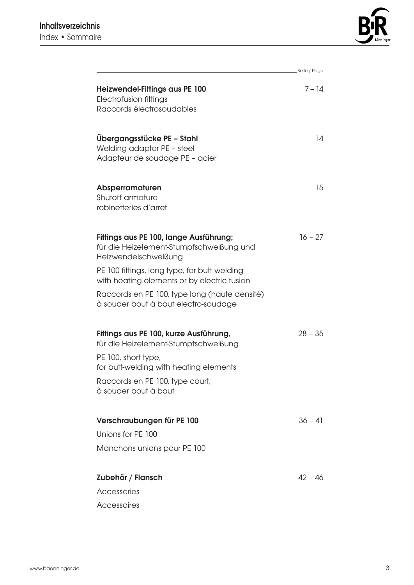

|                                                                                                            | Seite / Page |
|------------------------------------------------------------------------------------------------------------|--------------|
| <b>Heizwendel-Fittings aus PE 100</b><br>Electrofusion fittings                                            | $7 - 14$     |
| Raccords électrosoudables                                                                                  |              |
| Übergangsstücke PE - Stahl<br>Welding adaptor PE - steel<br>Adapteur de soudage PE - acier                 | 14           |
| Absperramaturen<br>Shutoff armature<br>robinetteries d'arret                                               | 15           |
| Fittings aus PE 100, lange Ausführung;<br>für die Heizelement-Stumpfschweißung und<br>Heizwendelschweißung | $16 - 27$    |
| PE 100 fittings, long type, for butt welding<br>with heating elements or by electric fusion                |              |
| Raccords en PE 100, type long (haute densité)<br>à souder bout à bout electro-soudage                      |              |
| Fittings aus PE 100, kurze Ausführung,<br>für die Heizelement-Stumpfschweißung                             | $28 - 35$    |
| PE 100, short type,<br>for butt-welding with heating elements                                              |              |
| Raccords en PE 100, type court,<br>à souder bout à bout                                                    |              |
| Verschraubungen für PE 100                                                                                 | $36 - 41$    |
| Unions for PE 100                                                                                          |              |
| Manchons unions pour PE 100                                                                                |              |
| Zubehör / Flansch                                                                                          | $42 - 46$    |
| Accessories                                                                                                |              |
| Accessoires                                                                                                |              |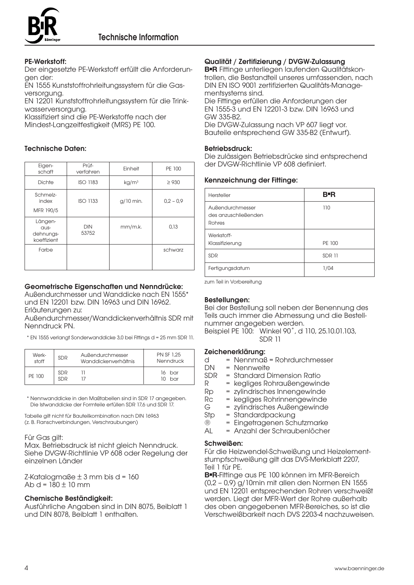

#### PE-Werkstoff:

Der eingesetzte PE-Werkstoff erfüllt die Anforderungen der:

EN 1555 Kunststoffrohrleitungssystem für die Gasversorgung.

EN 12201 Kunststoffrohrleitungssystem für die Trinkwasserversorgung.

Klassifiziert sind die PE-Werkstoffe nach der Mindest-Langzeitfestigkeit (MRS) PE 100.

#### Technische Daten:

| Eigen-<br>schaft                            | Prüf-<br>verfahren  | Einheit           | PE 100      |
|---------------------------------------------|---------------------|-------------------|-------------|
| <b>Dichte</b>                               | <b>ISO 1183</b>     | kg/m <sup>3</sup> | $\geq$ 930  |
| Schmelz-<br>index<br>MFR 190/5              | <b>ISO 1133</b>     | $g/10$ min.       | $0.2 - 0.9$ |
| Längen-<br>aus-<br>dehnungs-<br>koeffizient | <b>DIN</b><br>53752 | mm/m.k.           | 0.13        |
| Farbe                                       |                     |                   | schwarz     |

#### Geometrische Eigenschaften und Nenndrücke:

Außendurchmesser und Wanddicke nach EN 1555\* und EN 12201 bzw. DIN 16963 und DIN 16962. Erläuterungen zu:

Außendurchmesser/Wanddickenverhältnis SDR mit Nenndruck PN.

\*\* EN 1555 verlangt Sonderwanddicke 3,0 bei Fittings d = 25 mm SDR 11.

| Werk-  | <b>SDR</b>               | Außendurchmesser     | <b>PN SF 1.25</b>  |
|--------|--------------------------|----------------------|--------------------|
| stoff  |                          | Wanddickenverhältnis | Nenndruck          |
| PF 100 | <b>SDR</b><br><b>SDR</b> |                      | 16 bar<br>$10$ bar |

\*\* Nennwanddicke in den Maßtabellen sind in SDR 17 angegeben. Die Istwanddicke der Formteile erfüllen SDR 17,6 und SDR 17.

Tabelle gilt nicht für Bauteilkombination nach DIN 16963 (z. B. Flanschverbindungen, Verschraubungen)

#### Für Gas gilt:

Max. Betriebsdruck ist nicht gleich Nenndruck. Siehe DVGW-Richtlinie VP 608 oder Regelung der einzelnen Länder

 $Z$ -Katalogmaße  $\pm$  3 mm bis d = 160 Ab d =  $180 \pm 10$  mm

#### Chemische Beständigkeit:

Ausführliche Angaben sind in DIN 8075, Beiblatt 1 und DIN 8078, Beiblatt 1 enthalten.

#### Qualität / Zertifizierung / DVGW-Zulassung

**B**■**R** Fittinge unterliegen laufenden Qualitätskontrollen, die Bestandteil unseres umfassenden, nach DIN EN ISO 9001 zertifizierten Qualitäts-Managementsystems sind.

Die Fittinge erfüllen die Anforderungen der EN 1555-3 und EN 12201-3 bzw. DIN 16963 und GW 335-B2.

Die DVGW-Zulassung nach VP 607 liegt vor. Bauteile entsprechend GW 335-B2 (Entwurf).

#### Betriebsdruck:

Die zulässigen Betriebsdrücke sind entsprechend der DVGW-Richtlinie VP 608 definiert.

#### Kennzeichnung der Fittinge:

| Hersteller                                         | <b>B</b> -R   |
|----------------------------------------------------|---------------|
| Außendurchmesser<br>des anzuschließenden<br>Rohres | 110           |
| Werkstoff-<br>Klassifizierung                      | PE 100        |
| <b>SDR</b>                                         | <b>SDR 11</b> |
| Fertigungsdatum                                    | 1/04          |

zum Teil in Vorbereitung

#### Bestellungen:

Bei der Bestellung soll neben der Benennung des Teils auch immer die Abmessung und die Bestellnummer angegeben werden. Beispiel PE 100: Winkel 90˚, d 110, 25.10.01.103, SDR 11

Zeichenerklärung:

- $d = NennmaB = Rohrdurchmesser$ <br> $DN = Nennweite$
- DN = Nennweite<br>SDR = Standard D
	- = Standard Dimension Ratio
- R = kegliges Rohraußengewinde
- Rp = zylindrisches Innengewinde
- Rc = kegliges Rohrinnengewinde
- G = zylindrisches Außengewinde
- Stp = Standardpackung<br>® = Einaetraaenen Sch
- ® = Eingetragenen Schutzmarke<br>AL = Anzahl der Schraubenlöcher
- = Anzahl der Schraubenlöcher

#### Schweißen:

Für die Heizwendel-Schweißung und Heizelementstumpfschweißung gilt das DVS-Merkblatt 2207, Teil 1 für PE.

**B**■**R**-Fittinge aus PE 100 können im MFR-Bereich (0,2 – 0,9) g/10min mit allen den Normen EN 1555 und EN 12201 entsprechenden Rohren verschweißt werden. Liegt der MFR-Wert der Rohre außerhalb des oben angegebenen MFR-Bereiches, so ist die Verschweißbarkeit nach DVS 2203-4 nachzuweisen.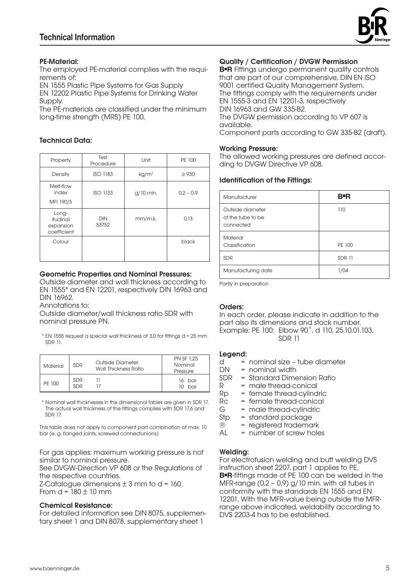

#### PE-Material:

The employed PE-material complies with the requirements of:

EN 1555 Plastic Pipe Systems for Gas Supply EN 12202 Plastic Pipe Systems for Drinking Water Supply.

The PE-materials are classified under the minimum long-time strength (MRS) PE 100.

#### Technical Data:

| Property                                      | Test<br>Procedure   | Unit              | PE 100      |
|-----------------------------------------------|---------------------|-------------------|-------------|
| Density                                       | <b>ISO 1183</b>     | kg/m <sup>3</sup> | $\geq$ 930  |
| Melt-flow<br>index<br>MFI 190/5               | <b>ISO 1133</b>     | $g/10$ min.       | $0.2 - 0.9$ |
| Long-<br>itudinal<br>expansion<br>coefficient | <b>DIN</b><br>53752 | mm/m.k.           | 0.13        |
| Colour                                        |                     |                   | black       |

#### Geometric Properties and Nominal Pressures:

Outside diameter and wall thickness according to EN 1555\* and EN 12201, respectively DIN 16963 and DIN 16962.

Annotations to:

Outside diameter/wall thickness ratio SDR with nominal pressure PN.

\*\* EN 1555 request a special wall thickness of 3,0 for fittings d = 25 mm SDR 11.

| Material | <b>SDR</b>               | Outside Diameter<br>Wall Thickness Ratio | <b>PN SF 1.25</b><br>Nominal<br>Pressure |
|----------|--------------------------|------------------------------------------|------------------------------------------|
| PF 100   | <b>SDR</b><br><b>SDR</b> |                                          | 16 bar<br>bar<br>m                       |

\*\* Nominal wall thicknesses in the dimensional tables are given in SDR 17. The actual wall thickness of the fittings complies with SDR 17,6 and SDR 17.

This table does not apply to component part combination of max. 10 bar (e. g. flanged joints, screwed connectunions)

For gas applies: maximum working pressure is not similar to nominal pressure.

See DVGW-Direction VP 608 or the Regulations of the respective countries.

 $Z$ -Catalogue dimensions  $\pm$  3 mm to d = 160 From  $d = 180 \pm 10$  mm

#### Chemical Resistance:

For detailed information see DIN 8075, supplementary sheet 1 and DIN 8078, supplementary sheet 1

#### Quality / Certification / DVGW Permission

**B**■**R** Fittings undergo permanent quality controls that are part of our comprehensive, DIN EN ISO 9001 certified Quality Management System. The fittings comply with the requirements under EN 1555-3 and EN 12201-3, respectively DIN 16963 and GW 335-B2. The DVGW permission according to VP 607 is available.

Component parts according to GW 335-B2 (draft).

#### Working Pressure:

The allowed working pressures are defined according to DVGW Directive VP 608.

#### Identification of the Fittings:

| Manufacturer                                       | B=R           |
|----------------------------------------------------|---------------|
| Outside diameter<br>of the tube to be<br>connected | 110           |
| Material<br>Classification                         | PE 100        |
| <b>SDR</b>                                         | <b>SDR 11</b> |
| Manufacturing date                                 | 1/04          |

Partly in preparation

#### Orders:

In each order, please indicate in addition to the part also its dimensions and stock number. Example: PE 100: Elbow 90˚, d 110, 25.10.01.103, SDR 11

#### Legend:

 $d =$  nominal size – tube diameter<br>DN = nominal width

- $=$  nominal width
- SDR = Standard Dimension Ratio
- R = male thread-conical
- Rp = female thread-cylindric<br>Rc = female thread-conical
- $RC = female thread-conical  
\n $G = male thread-cylinder$$
- G = male thread-cylindric<br>Stp = standard packaae
- $\text{Stp} = \text{standard package}$ <br>  $\text{R} = \text{revisited tradema}$
- $\begin{array}{ll}\n\circledR &= \text{registered trademark} \\
\text{Al} &= \text{number of screw hole}\n\end{array}$
- $=$  number of screw holes

#### Welding:

For electrofusion welding and butt welding DVS instruction sheet 2207, part 1 applies to PE. **B**■**R**-fittings made of PE 100 can be welded in the MFR-range (0,2 – 0,9) g/10 min. with all tubes in conformity with the standards EN 1555 and EN 12201. With the MFR-value being outside the MFRrange above indicated, weldability according to DVS 2203-4 has to be established.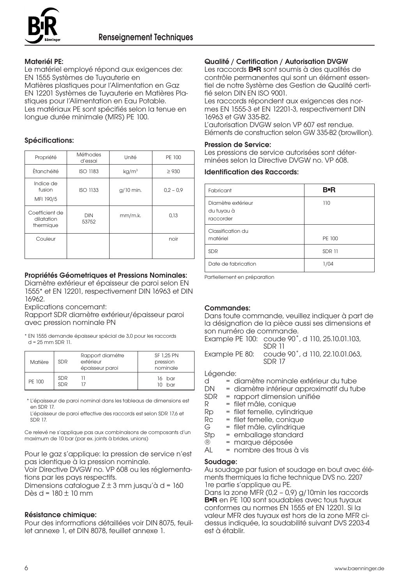

#### Materiél PE:

Le matériel employé répond aux exigences de: EN 1555 Systèmes de Tuyauterie en Matières plastiques pour l'Alimentation en Gaz EN 12201 Systèmes de Tuyauterie en Matières Pla-

stiques pour l'Alimentation en Eau Potable. Les matériaux PE sont spécifiés selon la tenue en longue durée minimale (MRS) PE 100.

#### Spécifications:

| Propriété                                 | <b>Méthodes</b><br>d'essai | Unité             | PE 100      |
|-------------------------------------------|----------------------------|-------------------|-------------|
| Ètanchéité                                | <b>ISO 1183</b>            | kg/m <sup>3</sup> | $\geq$ 930  |
| Indice de<br>fusion<br>MFI 190/5          | <b>ISO 1133</b>            | $g/10$ min.       | $0.2 - 0.9$ |
| Coefficient de<br>dilatation<br>thermique | <b>DIN</b><br>53752        | mm/m.k.           | 0.13        |
| Couleur                                   |                            |                   | noir        |

#### Propriétés Géometriques et Pressions Nominales:

Diamètre extérieur et épaisseur de paroi selon EN 1555\* et EN 12201, respectivement DIN 16963 et DIN 16962.

Explications concemant:

Rapport SDR diamètre extérieur/épaisseur paroi avec pression nominale PN

\* EN 1555 demande épaisseur spécial de 3,0 pour les raccords  $d = 25$  mm SDR 11.

| Matière | <b>SDR</b>               | Rapport diamétre<br>extérieur<br>épaisseur paroi | SF 1.25 PN<br>pression<br>nominale |
|---------|--------------------------|--------------------------------------------------|------------------------------------|
| PF 100  | <b>SDR</b><br><b>SDR</b> |                                                  | 16 bar<br>bar                      |

\*\* L'épaisseur de paroi nominal dans les tableaus de dimensions est en SDR 17.

L'épaisseur de paroi effective des raccords est selon SDR 17,6 et SDR 17.

Ce relevé ne s'applique pas aux combinaisons de composants d'un maximum de 10 bar (par ex. joints à brides, unions)

Pour le gaz s'applique: la pression de service n'est pas identique à la pression nominale.

Voir Directive DVGW no. VP 608 ou les réglementations par les pays respectifs.

Dimensions catalogue  $Z \pm 3$  mm jusqu'à d = 160 Dès d = 180 ± 10 mm

#### Résistance chimique:

Pour des informations détaillées voir DIN 8075, feuillet annexe 1, et DIN 8078, feuillet annexe 1.

#### Qualité / Certification / Autorisation DVGW

Les raccords **B**■**R** sont soumis à des qualités de contrôle permanentes qui sont un élément essentiel de notre Système des Gestion de Qualité certifié selon DIN EN ISO 9001.

Les raccords répondent aux exigences des normes EN 1555-3 et EN 12201-3, respectivement DIN 16963 et GW 335-B2. L'autorisation DVGW selon VP 607 est rendue.

Eléments de construction selon GW 335-B2 (browillon).

#### Pression de Service:

Les pressions de service autorisées sont déterminées selon la Directive DVGW no. VP 608.

#### Identification des Raccords:

| Fabricant                                     | <b>B</b> R    |
|-----------------------------------------------|---------------|
| Diamètre extérieur<br>du tuyau à<br>raccorder | 110           |
| Classification du<br>matériel                 | PE 100        |
| <b>SDR</b>                                    | <b>SDR 11</b> |
| Date de fabrication                           | 1/04          |

Partiellement en préparation

#### Commandes:

Dans toute commande, veuillez indiquer à part de la désignation de la pièce aussi ses dimensions et son numéro de commande.

Example PE 100: coude 90˚, d 110, 25.10.01.103, SDR 11

Example PE 80: coude 90˚, d 110, 22.10.01.063, SDR 17

#### Légende:

- d = diamètre nominale extérieur du tube<br>DN = diamètre intérieur approximatif du tub
- DN = diamètre intérieur approximatif du tube<br>SDR = rapport dimension unifiée
- $SDR =$  rapport dimension unifiée<br>  $R =$  filet mâle, conjque
- R = filet mâle, conique<br>Rp = filet femelle, cylindi
- $Rp = filet$  femelle, cylindrique<br> $Rc = filet$  femelle, conique
- Rc = filet femelle, conique<br>
G = filet mâle, cvlindrique
- G = filet mâle, cylindrique<br>Stp = emballage standard
- $Stp = emballage standard  
\n $R = m$ orrule déposée$ 
	- ® = marque déposée
- AL = nombre des trous à vis

#### Soudage:

Au soudage par fusion et soudage en bout avec éléments thermiques la fiche technique DVS no. 2207 1re partie s'applique au PE.

Dans la zone MFR (0,2 – 0,9) g/10min les raccords **B=R** en PE 100 sont soudables avec tous tuyaux conformes au normes EN 1555 et EN 12201. Si la valeur MFR des tuyaux est hors de la zone MFR cidessus indiquée, la soudabilité suivant DVS 2203-4 est à établir.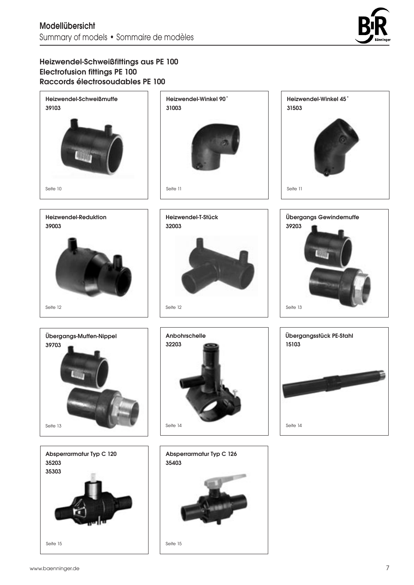

# Heizwendel-Schweißfittings aus PE 100 Electrofusion fittings PE 100 Raccords électrosoudables PE 100

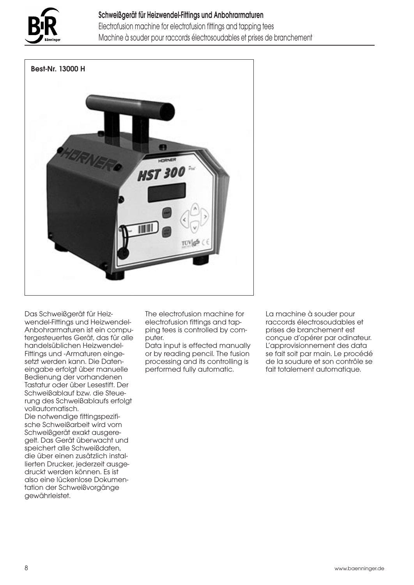

# Schweißgerät für Heizwendel-Fittings und Anbohrarmaturen Electrofusion machine for electrofusion fittings and tapping tees Machine à souder pour raccords électrosoudables et prises de branchement



Das Schweißgerät für Heizwendel-Fittings und Heizwendel-Anbohrarmaturen ist ein computergesteuertes Gerät, das für alle handelsüblichen Heizwendel-Fittings und -Armaturen eingesetzt werden kann. Die Dateneingabe erfolgt über manuelle Bedienung der vorhandenen Tastatur oder über Lesestift. Der Schweißablauf bzw. die Steuerung des Schweißablaufs erfolgt vollautomatisch.

Die notwendige fittingspezifische Schweißarbeit wird vom Schweißgerät exakt ausgeregelt. Das Gerät überwacht und speichert alle Schweißdaten, die über einen zusätzlich installierten Drucker, jederzeit ausgedruckt werden können. Es ist also eine lückenlose Dokumentation der Schweißvorgänge gewährleistet.

The electrofusion machine for electrofusion fittings and tapping tees is controlled by computer.

Data input is effected manually or by reading pencil. The fusion processing and its controlling is performed fully automatic.

La machine à souder pour raccords électrosoudables et prises de branchement est conçue d'opérer par odinateur. L'approvisionnement des data se fait soit par main. Le procédé de la soudure et son contrôle se fait totalement automatique.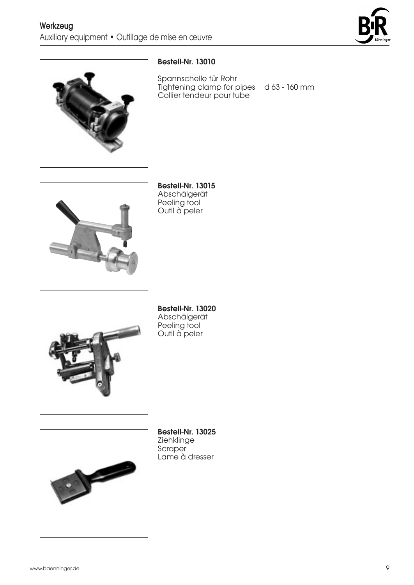



# Bestell-Nr. 13010

Spannschelle für Rohr Tightening clamp for pipes d 63 - 160 mm Collier tendeur pour tube



Bestell-Nr. 13015 Abschälgerät Peeling tool Outil à peler



Bestell-Nr. 13020 Abschälgerät Peeling tool Outil à peler



Bestell-Nr. 13025 Ziehklinge **Scraper** Lame à dresser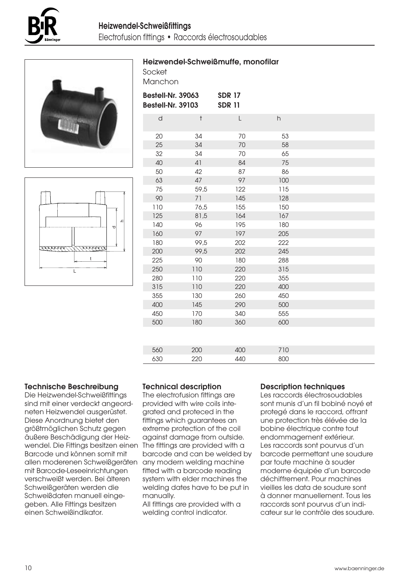

Socket Manchon

Heizwendel-Schweißmuffe, monofilar





| Bestell-Nr. 39063<br><b>Bestell-Nr. 39103</b> |           | <b>SDR 17</b><br><b>SDR 11</b> |                           |  |
|-----------------------------------------------|-----------|--------------------------------|---------------------------|--|
| $\mathsf{d}$                                  | $\dagger$ | L                              | $\boldsymbol{\mathsf{h}}$ |  |
| 20                                            | 34        | 70                             | 53                        |  |
| 25                                            | 34        | 70                             | 58                        |  |
| 32                                            | 34        | 70                             | 65                        |  |
| 40                                            | 41        | 84                             | 75                        |  |
| 50                                            | 42        | 87                             | 86                        |  |
| 63                                            | 47        | 97                             | 100                       |  |
| 75                                            | 59,5      | 122                            | 115                       |  |
| 90                                            | 71        | 145                            | 128                       |  |
| 110                                           | 76,5      | 155                            | 150                       |  |
| 125                                           | 81,5      | 164                            | 167                       |  |
| 140                                           | 96        | 195                            | 180                       |  |
| 160                                           | 97        | 197                            | 205                       |  |
| 180                                           | 99,5      | 202                            | 222                       |  |
| 200                                           | 99,5      | 202                            | 245                       |  |
| 225                                           | 90        | 180                            | 288                       |  |
| 250                                           | 110       | 220                            | 315                       |  |
| 280                                           | 110       | 220                            | 355                       |  |
| 315                                           | 110       | 220                            | 400                       |  |
| 355                                           | 130       | 260                            | 450                       |  |
| 400                                           | 145       | 290                            | 500                       |  |
| 450                                           | 170       | 340                            | 555                       |  |
| 500                                           | 180       | 360                            | 600                       |  |
|                                               |           |                                |                           |  |
| 560                                           | 200       | 400                            | 710                       |  |
| 630                                           | 220       | 440                            | 800                       |  |

# Technische Beschreibung

Die Heizwendel-Schweißfittings sind mit einer verdeckt angeordneten Heizwendel ausgerüstet. Diese Anordnung bietet den größtmöglichen Schutz gegen äußere Beschädigung der Heizwendel. Die Fittings besitzen einen The fittings are provided with a Barcode und können somit mit allen moderenen Schweißgeräten mit Barcode-Leseeinrichtungen verschweißt werden. Bei älteren Schweißgeräten werden die Schweißdaten manuell eingegeben. Alle Fittings besitzen einen Schweißindikator.

#### Technical description

The electrofusion fittings are provided with wire coils integrated and proteced in the fittings which guarantees an extreme protection of the coil against damage from outside. barcode and can be welded by any modern welding machine fitted with a barcode reading system with elder machines the welding dates have to be put in manually.

All fittings are provided with a welding control indicator.

#### Description techniques

Les raccords électrosoudables sont munis d'un fil bobiné noyé et protegé dans le raccord, offrant une protection très élévée de la bobine électrique contre tout endommagement extérieur. Les raccords sont pourvus d'un barcode permettant une soudure par toute machine à souder moderne équipée d'un barcode déchiffrement. Pour machines vieilles les data de soudure sont à donner manuellement. Tous les raccords sont pourvus d'un indicateur sur le contrôle des soudure.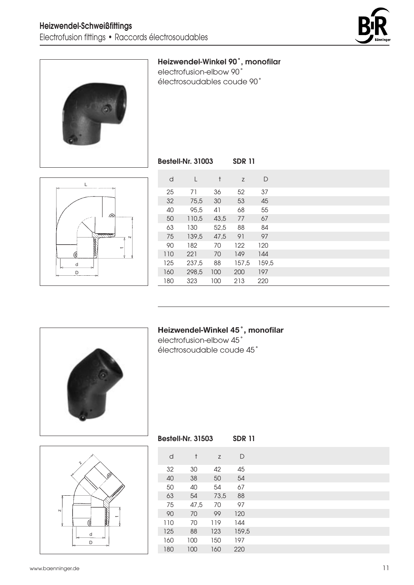



# Heizwendel-Winkel 90˚, monofilar

electrofusion-elbow 90˚ électrosoudables coude 90˚

Bestell-Nr. 31003 SDR 11

| d   | L     | $\ddagger$ | Z     | D     |  |
|-----|-------|------------|-------|-------|--|
| 25  | 71    | 36         | 52    | 37    |  |
| 32  | 75,5  | 30         | 53    | 45    |  |
| 40  | 95,5  | 41         | 68    | 55    |  |
| 50  | 110,5 | 43,5       | 77    | 67    |  |
| 63  | 130   | 52,5       | 88    | 84    |  |
| 75  | 139,5 | 47,5       | 91    | 97    |  |
| 90  | 182   | 70         | 122   | 120   |  |
| 110 | 221   | 70         | 149   | 144   |  |
| 125 | 237,5 | 88         | 157,5 | 159,5 |  |
| 160 | 298,5 | 100        | 200   | 197   |  |
| 180 | 323   | 100        | 213   | 220   |  |
|     |       |            |       |       |  |



#### **Heizwendel-Winkel 45˚, monofilar**

electrofusion-elbow 45˚ électrosoudable coude 45˚

Bestell-Nr. 31503 SDR 11



| d   | t    | Z    | D     |  |
|-----|------|------|-------|--|
| 32  | 30   | 42   | 45    |  |
| 40  | 38   | 50   | 54    |  |
| 50  | 40   | 54   | 67    |  |
| 63  | 54   | 73,5 | 88    |  |
| 75  | 47,5 | 70   | 97    |  |
| 90  | 70   | 99   | 120   |  |
| 110 | 70   | 119  | 144   |  |
| 125 | 88   | 123  | 159,5 |  |
| 160 | 100  | 150  | 197   |  |
| 180 | 100  | 160  | 220   |  |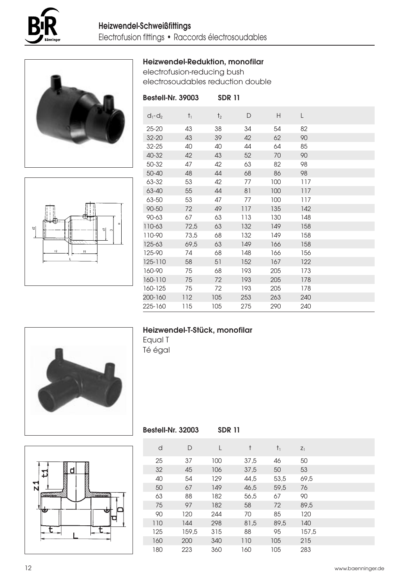





# Heizwendel-Reduktion, monofilar

electrofusion-reducing bush electrosoudables reduction double

| Bestell-Nr. 39003 |             | <b>SDR 11</b>  |     |     |     |  |
|-------------------|-------------|----------------|-----|-----|-----|--|
| $d_1 - d_2$       | $\dagger_1$ | t <sub>2</sub> | D   | Н   | L   |  |
| $25 - 20$         | 43          | 38             | 34  | 54  | 82  |  |
| $32 - 20$         | 43          | 39             | 42  | 62  | 90  |  |
| $32 - 25$         | 40          | 40             | 44  | 64  | 85  |  |
| 40-32             | 42          | 43             | 52  | 70  | 90  |  |
| 50-32             | 47          | 42             | 63  | 82  | 98  |  |
| $50 - 40$         | 48          | 44             | 68  | 86  | 98  |  |
| 63-32             | 53          | 42             | 77  | 100 | 117 |  |
| 63-40             | 55          | 44             | 81  | 100 | 117 |  |
| 63-50             | 53          | 47             | 77  | 100 | 117 |  |
| $90 - 50$         | 72          | 49             | 117 | 135 | 142 |  |
| $90 - 63$         | 67          | 63             | 113 | 130 | 148 |  |
| 110-63            | 72,5        | 63             | 132 | 149 | 158 |  |
| 110-90            | 73,5        | 68             | 132 | 149 | 158 |  |
| 125-63            | 69.5        | 63             | 149 | 166 | 158 |  |
| 125-90            | 74          | 68             | 148 | 166 | 156 |  |
| 125-110           | 58          | 51             | 152 | 167 | 122 |  |
| 160-90            | 75          | 68             | 193 | 205 | 173 |  |
| 160-110           | 75          | 72             | 193 | 205 | 178 |  |
| 160-125           | 75          | 72             | 193 | 205 | 178 |  |
| 200-160           | 112         | 105            | 253 | 263 | 240 |  |
| 225-160           | 115         | 105            | 275 | 290 | 240 |  |

# Heizwendel-T-Stück, monofilar

Equal T Té égal





| <b>Bestell-Nr. 32003</b> |       | <b>SDR 11</b> |      |       |       |  |
|--------------------------|-------|---------------|------|-------|-------|--|
| d                        | D     | L             | t    | $t_1$ | $Z_1$ |  |
| 25                       | 37    | 100           | 37,5 | 46    | 50    |  |
| 32                       | 45    | 106           | 37.5 | 50    | 53    |  |
| 40                       | 54    | 129           | 44,5 | 53,5  | 69,5  |  |
| 50                       | 67    | 149           | 46,5 | 59.5  | 76    |  |
| 63                       | 88    | 182           | 56,5 | 67    | 90    |  |
| 75                       | 97    | 182           | 58   | 72    | 89.5  |  |
| 90                       | 120   | 244           | 70   | 85    | 120   |  |
| 110                      | 144   | 298           | 81,5 | 89,5  | 140   |  |
| 125                      | 159.5 | 315           | 88   | 95    | 157.5 |  |
| 160                      | 200   | 340           | 110  | 105   | 215   |  |
| 180                      | 223   | 360           | 160  | 105   | 283   |  |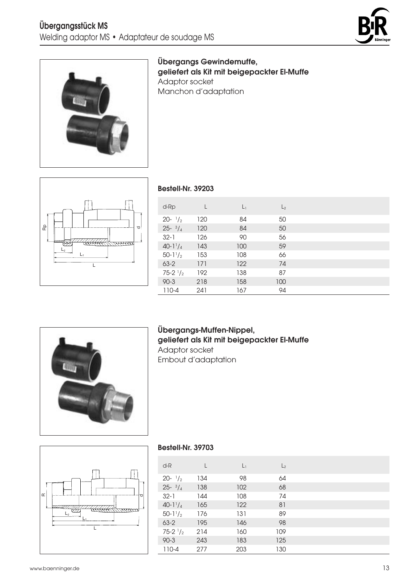



Übergangs Gewindemuffe, geliefert als Kit mit beigepackter El-Muffe Adaptor socket Manchon d'adaptation



#### Bestell-Nr. 39203

| $d-Rp$              |     | $L_1$ | L <sub>2</sub> |  |
|---------------------|-----|-------|----------------|--|
| $20 - \frac{1}{2}$  | 120 | 84    | 50             |  |
| $25 - \frac{3}{4}$  | 120 | 84    | 50             |  |
| $32 - 1$            | 126 | 90    | 56             |  |
| $40 - 1\frac{1}{4}$ | 143 | 100   | 59             |  |
| $50 - 11/2$         | 153 | 108   | 66             |  |
| $63 - 2$            | 171 | 122   | 74             |  |
| $75-2$ $1/2$        | 192 | 138   | 87             |  |
| $90 - 3$            | 218 | 158   | 100            |  |
| $110 - 4$           | 241 | 167   | 94             |  |



# Übergangs-Muffen-Nippel, geliefert als Kit mit beigepackter El-Muffe Adaptor socket Embout d'adaptation



#### Bestell-Nr. 39703

| d-R                | L   | $L_1$ | L <sub>2</sub> |  |
|--------------------|-----|-------|----------------|--|
| $20 - \frac{1}{2}$ | 134 | 98    | 64             |  |
| $25 - \frac{3}{4}$ | 138 | 102   | 68             |  |
| $32 - 1$           | 144 | 108   | 74             |  |
| 40-1 $1/4$         | 165 | 122   | 81             |  |
| $50-1\frac{1}{2}$  | 176 | 131   | 89             |  |
| $63 - 2$           | 195 | 146   | 98             |  |
| $75-2$ $1/2$       | 214 | 160   | 109            |  |
| $90 - 3$           | 243 | 183   | 125            |  |
| $110 - 4$          | 277 | 203   | 130            |  |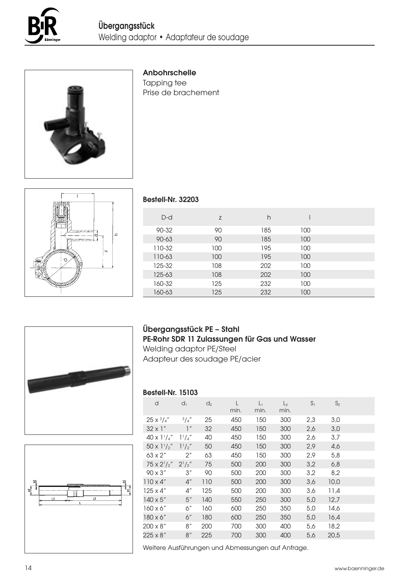



#### Anbohrschelle

Tapping tee Prise de brachement



#### Bestell-Nr. 32203

| $D-d$     | Z   | h   |     |  |
|-----------|-----|-----|-----|--|
| 90-32     | 90  | 185 | 100 |  |
| $90 - 63$ | 90  | 185 | 100 |  |
| 110-32    | 100 | 195 | 100 |  |
| 110-63    | 100 | 195 | 100 |  |
| 125-32    | 108 | 202 | 100 |  |
| 125-63    | 108 | 202 | 100 |  |
| 160-32    | 125 | 232 | 100 |  |
| 160-63    | 125 | 232 | 100 |  |
|           |     |     |     |  |





# Übergangsstück PE – Stahl PE-Rohr SDR 11 Zulassungen für Gas und Wasser

Welding adaptor PE/Steel Adapteur des soudage PE/acier

#### Bestell-Nr. 15103

| 3,0<br>3,0<br>4,6<br>5,8<br>6,8<br>8,2<br>14,6<br>18,2<br>20,5 |
|----------------------------------------------------------------|

Weitere Ausführungen und Abmessungen auf Anfrage.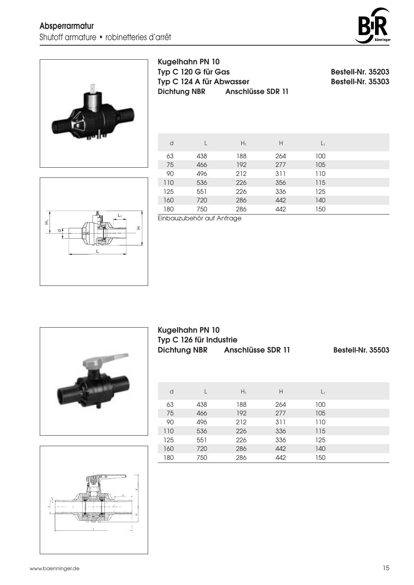



Kugelhahn PN 10 Typ C 120 G für Gas Bestell-Nr. 35203  $Typ C 124 A$  für Abwasser Dichtung NBR Anschlüsse SDR 11

| d   |     | $H_1$ | H   | L <sub>1</sub> |  |
|-----|-----|-------|-----|----------------|--|
| 63  | 438 | 188   | 264 | 100            |  |
| 75  | 466 | 192   | 277 | 105            |  |
| 90  | 496 | 212   | 311 | 110            |  |
| 110 | 536 | 226   | 356 | 115            |  |
| 125 | 551 | 226   | 336 | 125            |  |
| 160 | 720 | 286   | 442 | 140            |  |
| 180 | 750 | 286   | 442 | 150            |  |



Einbauzubehör auf Anfrage



Kugelhahn PN 10 Typ C 126 für Industrie

Anschlüsse SDR 11 Bestell-Nr. 35503

| d   |     | $H_1$ | H   | L <sub>1</sub> |  |
|-----|-----|-------|-----|----------------|--|
| 63  | 438 | 188   | 264 | 100            |  |
| 75  | 466 | 192   | 277 | 105            |  |
| 90  | 496 | 212   | 311 | 110            |  |
| 110 | 536 | 226   | 336 | 115            |  |
| 125 | 551 | 226   | 336 | 125            |  |
| 160 | 720 | 286   | 442 | 140            |  |
| 180 | 750 | 286   | 442 | 150            |  |

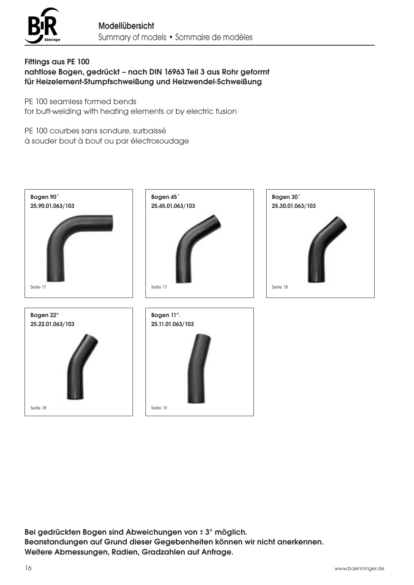

# Fittings aus PE 100 nahtlose Bogen, gedrückt – nach DIN 16963 Teil 3 aus Rohr geformt für Heizelement-Stumpfschweißung und Heizwendel-Schweißung

PE 100 seamless formed bends for butt-welding with heating elements or by electric fusion

PE 100 courbes sans sondure, surbaissé à souder bout à bout ou par électrosoudage



Bei gedrückten Bogen sind Abweichungen von ± 3° möglich. Beanstandungen auf Grund dieser Gegebenheiten können wir nicht anerkennen. Weitere Abmessungen, Radien, Gradzahlen auf Anfrage.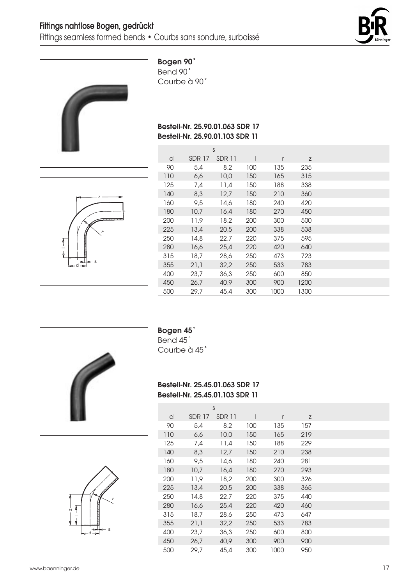



Bogen 90˚

Bend 90˚ Courbe à 90˚

# Bestell-Nr. 25.90.01.063 SDR 17 Bestell-Nr. 25.90.01.103 SDR 11



|     |               | S      |     |      |      |  |
|-----|---------------|--------|-----|------|------|--|
| d   | <b>SDR 17</b> | SDR 11 |     | r    | Z    |  |
| 90  | 5,4           | 8,2    | 100 | 135  | 235  |  |
| 110 | 6,6           | 10,0   | 150 | 165  | 315  |  |
| 125 | 7,4           | 11,4   | 150 | 188  | 338  |  |
| 140 | 8,3           | 12,7   | 150 | 210  | 360  |  |
| 160 | 9,5           | 14,6   | 180 | 240  | 420  |  |
| 180 | 10,7          | 16,4   | 180 | 270  | 450  |  |
| 200 | 11,9          | 18,2   | 200 | 300  | 500  |  |
| 225 | 13,4          | 20,5   | 200 | 338  | 538  |  |
| 250 | 14,8          | 22,7   | 220 | 375  | 595  |  |
| 280 | 16,6          | 25,4   | 220 | 420  | 640  |  |
| 315 | 18,7          | 28,6   | 250 | 473  | 723  |  |
| 355 | 21,1          | 32,2   | 250 | 533  | 783  |  |
| 400 | 23,7          | 36,3   | 250 | 600  | 850  |  |
| 450 | 26,7          | 40,9   | 300 | 900  | 1200 |  |
| 500 | 29,7          | 45,4   | 300 | 1000 | 1300 |  |





# Bogen 45˚

Bend 45˚ Courbe à 45˚

#### Bestell-Nr. 25.45.01.063 SDR 17 Bestell-Nr. 25.45.01.103 SDR 11

|     |        | S      |     |              |     |  |
|-----|--------|--------|-----|--------------|-----|--|
| d   | SDR 17 | SDR 11 | I   | $\mathsf{r}$ | Z   |  |
| 90  | 5,4    | 8,2    | 100 | 135          | 157 |  |
| 110 | 6,6    | 10,0   | 150 | 165          | 219 |  |
| 125 | 7,4    | 11,4   | 150 | 188          | 229 |  |
| 140 | 8,3    | 12,7   | 150 | 210          | 238 |  |
| 160 | 9,5    | 14,6   | 180 | 240          | 281 |  |
| 180 | 10,7   | 16,4   | 180 | 270          | 293 |  |
| 200 | 11,9   | 18,2   | 200 | 300          | 326 |  |
| 225 | 13,4   | 20,5   | 200 | 338          | 365 |  |
| 250 | 14,8   | 22,7   | 220 | 375          | 440 |  |
| 280 | 16,6   | 25,4   | 220 | 420          | 460 |  |
| 315 | 18,7   | 28,6   | 250 | 473          | 647 |  |
| 355 | 21,1   | 32,2   | 250 | 533          | 783 |  |
| 400 | 23,7   | 36,3   | 250 | 600          | 800 |  |
| 450 | 26,7   | 40,9   | 300 | 900          | 900 |  |
| 500 | 29.7   | 45.4   | 300 | 1000         | 950 |  |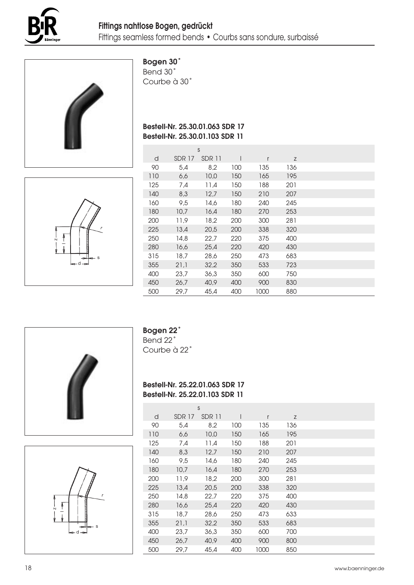



# Bogen 30˚

Bend 30˚ Courbe à 30˚

# Bestell-Nr. 25.30.01.063 SDR 17 Bestell-Nr. 25.30.01.103 SDR 11

| N<br>S<br>ᆋऻख़<br>$-d \rightarrow$<br>d |
|-----------------------------------------|
|-----------------------------------------|

|     |               | S      |     |      |     |  |
|-----|---------------|--------|-----|------|-----|--|
| d   | <b>SDR 17</b> | SDR 11 | I   | r    | Z   |  |
| 90  | 5,4           | 8,2    | 100 | 135  | 136 |  |
| 110 | 6,6           | 10,0   | 150 | 165  | 195 |  |
| 125 | 7,4           | 11,4   | 150 | 188  | 201 |  |
| 140 | 8,3           | 12,7   | 150 | 210  | 207 |  |
| 160 | 9,5           | 14,6   | 180 | 240  | 245 |  |
| 180 | 10,7          | 16,4   | 180 | 270  | 253 |  |
| 200 | 11,9          | 18,2   | 200 | 300  | 281 |  |
| 225 | 13,4          | 20,5   | 200 | 338  | 320 |  |
| 250 | 14,8          | 22,7   | 220 | 375  | 400 |  |
| 280 | 16,6          | 25,4   | 220 | 420  | 430 |  |
| 315 | 18,7          | 28,6   | 250 | 473  | 683 |  |
| 355 | 21,1          | 32,2   | 350 | 533  | 723 |  |
| 400 | 23,7          | 36,3   | 350 | 600  | 750 |  |
| 450 | 26,7          | 40,9   | 400 | 900  | 830 |  |
| 500 | 29,7          | 45,4   | 400 | 1000 | 880 |  |





# Bogen 22˚

Bend 22˚ Courbe à 22˚

# Bestell-Nr. 25.22.01.063 SDR 17 Bestell-Nr. 25.22.01.103 SDR 11

|     |               | S      |              |      |     |  |
|-----|---------------|--------|--------------|------|-----|--|
| d   | <b>SDR 17</b> | SDR 11 | $\mathsf{l}$ | r    | Z   |  |
| 90  | 5,4           | 8,2    | 100          | 135  | 136 |  |
| 110 | 6,6           | 10,0   | 150          | 165  | 195 |  |
| 125 | 7,4           | 11,4   | 150          | 188  | 201 |  |
| 140 | 8,3           | 12,7   | 150          | 210  | 207 |  |
| 160 | 9,5           | 14,6   | 180          | 240  | 245 |  |
| 180 | 10,7          | 16,4   | 180          | 270  | 253 |  |
| 200 | 11,9          | 18,2   | 200          | 300  | 281 |  |
| 225 | 13,4          | 20,5   | 200          | 338  | 320 |  |
| 250 | 14,8          | 22,7   | 220          | 375  | 400 |  |
| 280 | 16,6          | 25,4   | 220          | 420  | 430 |  |
| 315 | 18,7          | 28,6   | 250          | 473  | 633 |  |
| 355 | 21,1          | 32,2   | 350          | 533  | 683 |  |
| 400 | 23,7          | 36,3   | 350          | 600  | 700 |  |
| 450 | 26.7          | 40,9   | 400          | 900  | 800 |  |
| 500 | 29.7          | 45.4   | 400          | 1000 | 850 |  |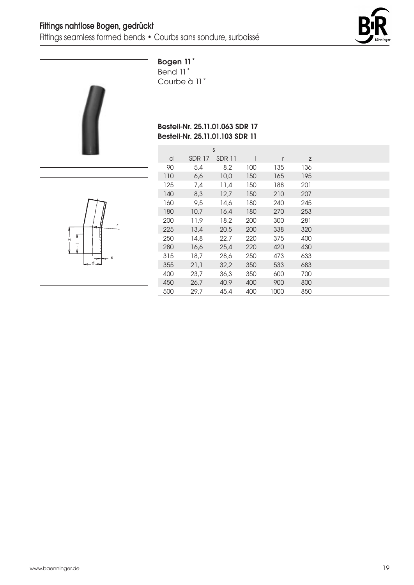



Bogen 11˚

Bend 11˚ Courbe à 11˚

# Bestell-Nr. 25.11.01.063 SDR 17 Bestell-Nr. 25.11.01.103 SDR 11

| $\overline{\mathsf{N}}$<br>s<br>ᆋ<br>$d \rightarrow$ |  |
|------------------------------------------------------|--|
|------------------------------------------------------|--|

|     |               | S      |     |      |     |  |
|-----|---------------|--------|-----|------|-----|--|
| d   | <b>SDR 17</b> | SDR 11 |     | r    | Z   |  |
| 90  | 5,4           | 8,2    | 100 | 135  | 136 |  |
| 110 | 6,6           | 10,0   | 150 | 165  | 195 |  |
| 125 | 7,4           | 11,4   | 150 | 188  | 201 |  |
| 140 | 8,3           | 12,7   | 150 | 210  | 207 |  |
| 160 | 9,5           | 14,6   | 180 | 240  | 245 |  |
| 180 | 10,7          | 16,4   | 180 | 270  | 253 |  |
| 200 | 11,9          | 18,2   | 200 | 300  | 281 |  |
| 225 | 13,4          | 20,5   | 200 | 338  | 320 |  |
| 250 | 14,8          | 22,7   | 220 | 375  | 400 |  |
| 280 | 16,6          | 25,4   | 220 | 420  | 430 |  |
| 315 | 18,7          | 28,6   | 250 | 473  | 633 |  |
| 355 | 21,1          | 32,2   | 350 | 533  | 683 |  |
| 400 | 23,7          | 36,3   | 350 | 600  | 700 |  |
| 450 | 26,7          | 40,9   | 400 | 900  | 800 |  |
| 500 | 29,7          | 45,4   | 400 | 1000 | 850 |  |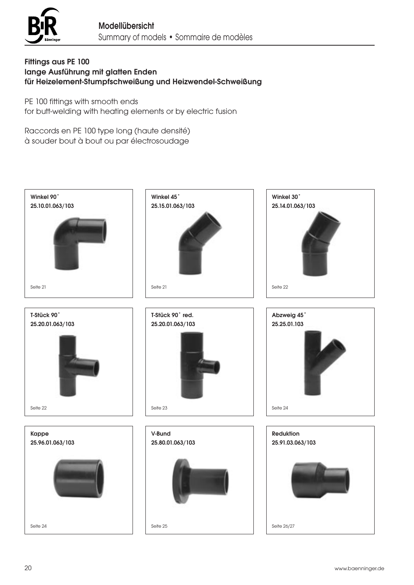

# Fittings aus PE 100 lange Ausführung mit glatten Enden für Heizelement-Stumpfschweißung und Heizwendel-Schweißung

PE 100 fittings with smooth ends

for butt-welding with heating elements or by electric fusion

Raccords en PE 100 type long (haute densité) à souder bout à bout ou par électrosoudage

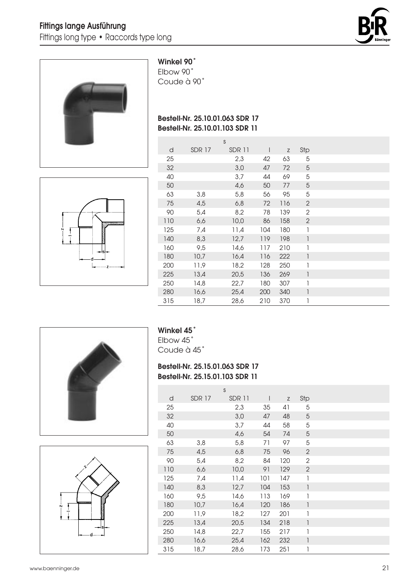



#### Winkel 90˚

Elbow 90˚ Coude à 90˚

# Bestell-Nr. 25.10.01.063 SDR 17 Bestell-Nr. 25.10.01.103 SDR 11



|     |               | S             |     |     |              |  |
|-----|---------------|---------------|-----|-----|--------------|--|
| d   | <b>SDR 17</b> | <b>SDR 11</b> | I   | Z   | Stp          |  |
| 25  |               | 2,3           | 42  | 63  | 5            |  |
| 32  |               | 3,0           | 47  | 72  | 5            |  |
| 40  |               | 3,7           | 44  | 69  | 5            |  |
| 50  |               | 4,6           | 50  | 77  | 5            |  |
| 63  | 3,8           | 5,8           | 56  | 95  | 5            |  |
| 75  | 4,5           | 6,8           | 72  | 116 | $\mathbf{2}$ |  |
| 90  | 5,4           | 8,2           | 78  | 139 | 2            |  |
| 110 | 6,6           | 10,0          | 86  | 158 | $\mathbf{2}$ |  |
| 125 | 7,4           | 11,4          | 104 | 180 | 1            |  |
| 140 | 8,3           | 12,7          | 119 | 198 | 1            |  |
| 160 | 9,5           | 14,6          | 117 | 210 | 1            |  |
| 180 | 10,7          | 16,4          | 116 | 222 | 1            |  |
| 200 | 11,9          | 18,2          | 128 | 250 | 1            |  |
| 225 | 13,4          | 20,5          | 136 | 269 | 1            |  |
| 250 | 14,8          | 22,7          | 180 | 307 | 1            |  |
| 280 | 16,6          | 25,4          | 200 | 340 | 1            |  |
| 315 | 18,7          | 28,6          | 210 | 370 | 1            |  |





# Winkel 45˚

Elbow 45˚ Coude à 45˚

# Bestell-Nr. 25.15.01.063 SDR 17 Bestell-Nr. 25.15.01.103 SDR 11

|     |               | S      |              |             |                          |
|-----|---------------|--------|--------------|-------------|--------------------------|
| d   | <b>SDR 17</b> | SDR 11 | $\mathsf{I}$ | $\mathsf Z$ | Stp                      |
| 25  |               | 2,3    | 35           | 41          | 5                        |
| 32  |               | 3,0    | 47           | 48          | 5                        |
| 40  |               | 3,7    | 44           | 58          | 5                        |
| 50  |               | 4,6    | 54           | 74          | 5                        |
| 63  | 3,8           | 5,8    | 71           | 97          | 5                        |
| 75  | 4,5           | 6,8    | 75           | 96          | $\overline{2}$           |
| 90  | 5,4           | 8,2    | 84           | 120         | $\mathbf{2}$             |
| 110 | 6,6           | 10,0   | 91           | 129         | $\overline{2}$           |
| 125 | 7,4           | 11,4   | 101          | 147         | 1                        |
| 140 | 8,3           | 12,7   | 104          | 153         | $\overline{\phantom{a}}$ |
| 160 | 9,5           | 14,6   | 113          | 169         | 1                        |
| 180 | 10,7          | 16,4   | 120          | 186         | $\overline{\phantom{a}}$ |
| 200 | 11,9          | 18,2   | 127          | 201         | 1                        |
| 225 | 13,4          | 20,5   | 134          | 218         | $\overline{1}$           |
| 250 | 14,8          | 22,7   | 155          | 217         | 1                        |
| 280 | 16,6          | 25,4   | 162          | 232         | $\overline{\phantom{a}}$ |
| 315 | 18,7          | 28,6   | 173          | 251         | 1                        |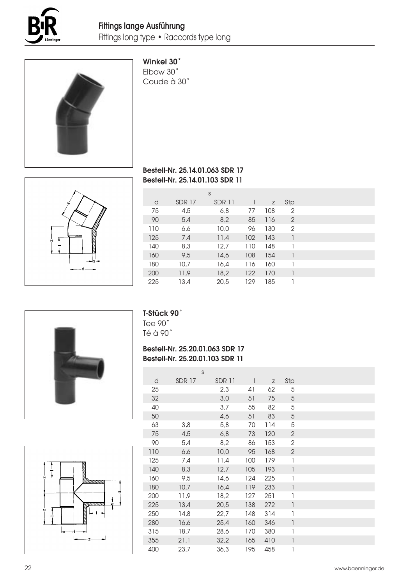



# Winkel 30˚

Elbow 30˚ Coude à 30˚

# Bestell-Nr. 25.14.01.063 SDR 17 Bestell-Nr. 25.14.01.103 SDR 11

|     |               | S      |     |     |                |
|-----|---------------|--------|-----|-----|----------------|
| d   | <b>SDR 17</b> | SDR 11 |     | Z   | Stp            |
| 75  | 4,5           | 6,8    | 77  | 108 | $\overline{2}$ |
| 90  | 5,4           | 8,2    | 85  | 116 | 2              |
| 110 | 6,6           | 10,0   | 96  | 130 | $\overline{2}$ |
| 125 | 7,4           | 11,4   | 102 | 143 | 1              |
| 140 | 8,3           | 12,7   | 110 | 148 |                |
| 160 | 9,5           | 14,6   | 108 | 154 |                |
| 180 | 10,7          | 16,4   | 116 | 160 |                |
| 200 | 11,9          | 18,2   | 122 | 170 | 1              |
| 225 | 13,4          | 20,5   | 129 | 185 |                |



# T-Stück 90˚

Tee 90˚ Té à 90˚

# Bestell-Nr. 25.20.01.063 SDR 17 Bestell-Nr. 25.20.01.103 SDR 11

|           | 40  |      |  |
|-----------|-----|------|--|
|           | 50  |      |  |
|           | 63  | 3,8  |  |
|           | 75  | 4,5  |  |
|           | 90  | 5,4  |  |
|           | 110 | 6,6  |  |
|           | 125 | 7,4  |  |
|           | 140 | 8,3  |  |
| mmmm      | 160 | 9,5  |  |
|           | 180 | 10,7 |  |
|           | 200 | 11,9 |  |
| mmmn<br>の | 225 | 13,4 |  |
|           | 250 | 14,8 |  |
|           | 280 | 16,6 |  |
|           | 315 | 18,7 |  |
|           | 355 | 21,1 |  |
|           | 400 | 23,7 |  |

|     |               | S      |              |             |                                       |
|-----|---------------|--------|--------------|-------------|---------------------------------------|
| d   | <b>SDR 17</b> | SDR 11 | $\mathsf{I}$ | $\mathsf Z$ | Stp                                   |
| 25  |               | 2,3    | 41           | 62          | 5                                     |
| 32  |               | 3,0    | 51           | 75          | $\mathbf 5$                           |
| 40  |               | 3,7    | 55           | 82          | 5                                     |
| 50  |               | 4,6    | 51           | 83          | $\overline{5}$                        |
| 63  | 3,8           | 5,8    | 70           | 114         | 5                                     |
| 75  | 4,5           | 6,8    | 73           | 120         | $\sqrt{2}$                            |
| 90  | 5,4           | 8,2    | 86           | 153         | $\mathbf{2}$                          |
| 110 | 6,6           | 10,0   | 95           | 168         | $\sqrt{2}$                            |
| 125 | 7,4           | 11,4   | 100          | 179         | $\begin{array}{c} \hline \end{array}$ |
| 140 | 8,3           | 12,7   | 105          | 193         | $\mathbf{I}$                          |
| 160 | 9,5           | 14,6   | 124          | 225         | 1                                     |
| 180 | 10,7          | 16,4   | 119          | 233         | 1                                     |
| 200 | 11,9          | 18,2   | 127          | 251         | 1                                     |
| 225 | 13,4          | 20,5   | 138          | 272         | $\begin{array}{c} \hline \end{array}$ |
| 250 | 14,8          | 22,7   | 148          | 314         | 1                                     |
| 280 | 16,6          | 25,4   | 160          | 346         | 1                                     |
| 315 | 18,7          | 28,6   | 170          | 380         | 1                                     |
| 355 | 21,1          | 32,2   | 165          | 410         | 1                                     |
| 400 | 23,7          | 36,3   | 195          | 458         | 1                                     |

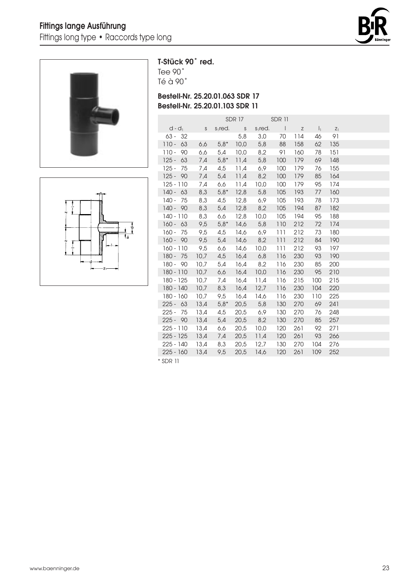



 $\overline{1}$ 

 $\frac{1}{4\pi}\frac{1}{6}$ 

# T-Stück 90˚ red.

Tee 90˚ Té à 90˚

# Bestell-Nr. 25.20.01.063 SDR 17 Bestell-Nr. 25.20.01.103 SDR 11

|          | $d - d_1$   | S    | $s1$ red. | S    | $s1$ red. | $\Box$ | $\mathsf Z$ | $\vert$ <sub>1</sub> | $Z_1$ |  |
|----------|-------------|------|-----------|------|-----------|--------|-------------|----------------------|-------|--|
|          | $63 - 32$   |      |           | 5,8  | 3,0       | 70     | 114         | 46                   | 91    |  |
|          | $110 - 63$  | 6,6  | $5,8*$    | 10,0 | 5,8       | 88     | 158         | 62                   | 135   |  |
|          | $110 - 90$  | 6,6  | 5,4       | 10,0 | 8,2       | 91     | 160         | 78                   | 151   |  |
|          | $125 - 63$  | 7,4  | $5,8*$    | 11,4 | 5,8       | 100    | 179         | 69                   | 148   |  |
| $125 -$  | 75          | 7,4  | 4,5       | 11,4 | 6,9       | 100    | 179         | 76                   | 155   |  |
|          | $125 - 90$  | 7,4  | 5,4       | 11,4 | 8,2       | 100    | 179         | 85                   | 164   |  |
|          | $125 - 110$ | 7,4  | 6,6       | 11,4 | 10,0      | 100    | 179         | 95                   | 174   |  |
|          | $140 - 63$  | 8,3  | $5,8*$    | 12,8 | 5,8       | 105    | 193         | 77                   | 160   |  |
| 140 -    | 75          | 8,3  | 4,5       | 12,8 | 6,9       | 105    | 193         | 78                   | 173   |  |
|          | $140 - 90$  | 8,3  | 5,4       | 12,8 | 8,2       | 105    | 194         | 87                   | 182   |  |
|          | $140 - 110$ | 8,3  | 6,6       | 12,8 | 10,0      | 105    | 194         | 95                   | 188   |  |
|          | $160 - 63$  | 9,5  | $5,8*$    | 14,6 | 5,8       | 110    | 212         | 72                   | 174   |  |
|          | $160 - 75$  | 9,5  | 4,5       | 14,6 | 6,9       | 111    | 212         | 73                   | 180   |  |
|          | $160 - 90$  | 9,5  | 5,4       | 14,6 | 8,2       | 111    | 212         | 84                   | 190   |  |
|          | $160 - 110$ | 9,5  | 6,6       | 14,6 | 10,0      | 111    | 212         | 93                   | 197   |  |
|          | $180 - 75$  | 10,7 | 4,5       | 16,4 | 6,8       | 116    | 230         | 93                   | 190   |  |
|          | $180 - 90$  | 10,7 | 5,4       | 16,4 | 8,2       | 116    | 230         | 85                   | 200   |  |
|          | $180 - 110$ | 10,7 | 6,6       | 16,4 | 10,0      | 116    | 230         | 95                   | 210   |  |
|          | 180 - 125   | 10.7 | 7,4       | 16,4 | 11,4      | 116    | 215         | 100                  | 215   |  |
|          | 180 - 140   | 10,7 | 8,3       | 16,4 | 12,7      | 116    | 230         | 104                  | 220   |  |
|          | 180 - 160   | 10,7 | 9,5       | 16,4 | 14,6      | 116    | 230         | 110                  | 225   |  |
|          | $225 - 63$  | 13,4 | $5,8*$    | 20,5 | 5,8       | 130    | 270         | 69                   | 241   |  |
| $225 -$  | 75          | 13,4 | 4,5       | 20,5 | 6,9       | 130    | 270         | 76                   | 248   |  |
|          | $225 - 90$  | 13,4 | 5,4       | 20,5 | 8,2       | 130    | 270         | 85                   | 257   |  |
|          | $225 - 110$ | 13,4 | 6,6       | 20,5 | 10,0      | 120    | 261         | 92                   | 271   |  |
|          | $225 - 125$ | 13,4 | 7,4       | 20,5 | 11,4      | 120    | 261         | 93                   | 266   |  |
|          | 225 - 140   | 13,4 | 8,3       | 20,5 | 12,7      | 130    | 270         | 104                  | 276   |  |
|          | $225 - 160$ | 13,4 | 9,5       | 20,5 | 14,6      | 120    | 261         | 109                  | 252   |  |
| * SDR 11 |             |      |           |      |           |        |             |                      |       |  |

SDR 17 SDR 11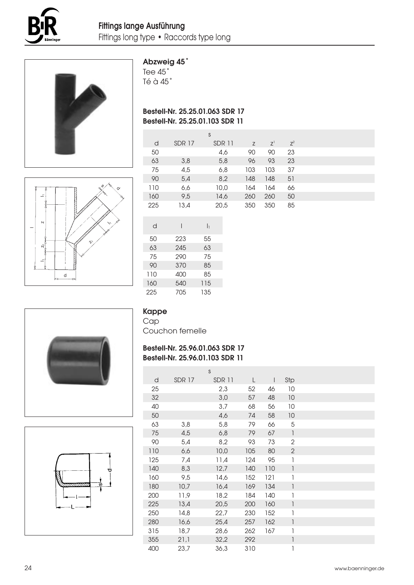



# Abzweig 45˚

Tee 45˚ Té à 45˚

# Bestell-Nr. 25.25.01.063 SDR 17 Bestell-Nr. 25.25.01.103 SDR 11

|     |               | S      |     |             |       |  |
|-----|---------------|--------|-----|-------------|-------|--|
| d   | <b>SDR 17</b> | SDR 11 | Z   | $Z^{\perp}$ | $Z^2$ |  |
| 50  |               | 4,6    | 90  | 90          | 23    |  |
| 63  | 3,8           | 5,8    | 96  | 93          | 23    |  |
| 75  | 4,5           | 6,8    | 103 | 103         | 37    |  |
| 90  | 5,4           | 8,2    | 148 | 148         | 51    |  |
| 110 | 6,6           | 10,0   | 164 | 164         | 66    |  |
| 160 | 9,5           | 14,6   | 260 | 260         | 50    |  |
| 225 | 13,4          | 20,5   | 350 | 350         | 85    |  |
|     |               |        |     |             |       |  |



| 9,5  |     | 14 |
|------|-----|----|
| 13,4 |     | 20 |
| I    | I۱  |    |
| 223  | 55  |    |
| 245  | 63  |    |
| 290  | 75  |    |
| 370  | 85  |    |
| 400  | 85  |    |
| 540  | 115 |    |
| 705  | 135 |    |
|      |     |    |

#### Kappe Cap

Couchon femelle

# Bestell-Nr. 25.96.01.063 SDR 17 Bestell-Nr. 25.96.01.103 SDR 11

s

|   | d   | <b>SDR 17</b> | SDR 11 |     |     | Stp                                   |  |
|---|-----|---------------|--------|-----|-----|---------------------------------------|--|
|   | 25  |               | 2,3    | 52  | 46  | 10                                    |  |
|   | 32  |               | 3,0    | 57  | 48  | 10                                    |  |
|   | 40  |               | 3,7    | 68  | 56  | 10                                    |  |
|   | 50  |               | 4,6    | 74  | 58  | 10                                    |  |
|   | 63  | 3,8           | 5,8    | 79  | 66  | 5                                     |  |
|   | 75  | 4,5           | 6,8    | 79  | 67  | 1                                     |  |
|   | 90  | 5,4           | 8,2    | 93  | 73  | $\mathbf{2}$                          |  |
|   | 110 | 6,6           | 10,0   | 105 | 80  | $\mathbf{2}$                          |  |
|   | 125 | 7,4           | 11,4   | 124 | 95  | 1                                     |  |
|   | 140 | 8,3           | 12,7   | 140 | 110 | $\begin{array}{c} \hline \end{array}$ |  |
|   | 160 | 9,5           | 14,6   | 152 | 121 | 1                                     |  |
| ø | 180 | 10,7          | 16,4   | 169 | 134 | 1                                     |  |
|   | 200 | 11,9          | 18,2   | 184 | 140 | 1                                     |  |
|   | 225 | 13,4          | 20,5   | 200 | 160 | $\mathsf{I}$                          |  |
|   | 250 | 14,8          | 22,7   | 230 | 152 | 1                                     |  |
|   | 280 | 16,6          | 25,4   | 257 | 162 | 1                                     |  |
|   | 315 | 18,7          | 28,6   | 262 | 167 | 1                                     |  |
|   | 355 | 21,1          | 32,2   | 292 |     | 1                                     |  |
|   | 400 | 23,7          | 36,3   | 310 |     | 1                                     |  |



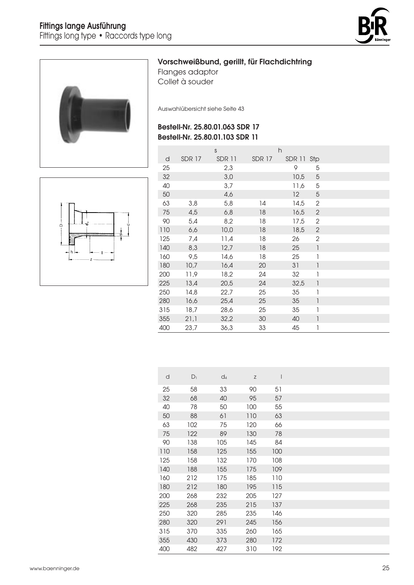



# Vorschweißbund, gerillt, für Flachdichtring

Flanges adaptor Collet à souder

Auswahlübersicht siehe Seite 43

# Bestell-Nr. 25.80.01.063 SDR 17 Bestell-Nr. 25.80.01.103 SDR 11



|     |               | S             |               | h          |                          |  |
|-----|---------------|---------------|---------------|------------|--------------------------|--|
| d   | <b>SDR 17</b> | <b>SDR 11</b> | <b>SDR 17</b> | SDR 11 Stp |                          |  |
| 25  |               | 2,3           |               | 9          | 5                        |  |
| 32  |               | 3,0           |               | 10,5       | $\mathbf 5$              |  |
| 40  |               | 3,7           |               | 11,6       | 5                        |  |
| 50  |               | 4,6           |               | 12         | 5                        |  |
| 63  | 3,8           | 5,8           | 14            | 14,5       | $\mathbf{2}$             |  |
| 75  | 4,5           | 6,8           | 18            | 16,5       | $\sqrt{2}$               |  |
| 90  | 5,4           | 8,2           | 18            | 17,5       | 2                        |  |
| 110 | 6,6           | 10,0          | 18            | 18,5       | $\sqrt{2}$               |  |
| 125 | 7,4           | 11,4          | 18            | 26         | $\mathbf{2}$             |  |
| 140 | 8,3           | 12,7          | 18            | 25         | $\mathbf{I}$             |  |
| 160 | 9,5           | 14,6          | 18            | 25         | 1                        |  |
| 180 | 10,7          | 16,4          | 20            | 31         | 1                        |  |
| 200 | 11,9          | 18,2          | 24            | 32         | 1                        |  |
| 225 | 13,4          | 20,5          | 24            | 32,5       | $\overline{\phantom{a}}$ |  |
| 250 | 14,8          | 22,7          | 25            | 35         | 1                        |  |
| 280 | 16,6          | 25,4          | 25            | 35         | $\mathsf{I}$             |  |
| 315 | 18,7          | 28,6          | 25            | 35         | 1                        |  |
| 355 | 21,1          | 32,2          | 30            | 40         | 1                        |  |
| 400 | 23,7          | 36,3          | 33            | 45         | 1                        |  |

| d   | $D_1$ | $d_4$ | Z   | I   |  |
|-----|-------|-------|-----|-----|--|
| 25  | 58    | 33    | 90  | 51  |  |
| 32  | 68    | 40    | 95  | 57  |  |
| 40  | 78    | 50    | 100 | 55  |  |
| 50  | 88    | 61    | 110 | 63  |  |
| 63  | 102   | 75    | 120 | 66  |  |
| 75  | 122   | 89    | 130 | 78  |  |
| 90  | 138   | 105   | 145 | 84  |  |
| 110 | 158   | 125   | 155 | 100 |  |
| 125 | 158   | 132   | 170 | 108 |  |
| 140 | 188   | 155   | 175 | 109 |  |
| 160 | 212   | 175   | 185 | 110 |  |
| 180 | 212   | 180   | 195 | 115 |  |
| 200 | 268   | 232   | 205 | 127 |  |
| 225 | 268   | 235   | 215 | 137 |  |
| 250 | 320   | 285   | 235 | 146 |  |
| 280 | 320   | 291   | 245 | 156 |  |
| 315 | 370   | 335   | 260 | 165 |  |
| 355 | 430   | 373   | 280 | 172 |  |
| 400 | 482   | 427   | 310 | 192 |  |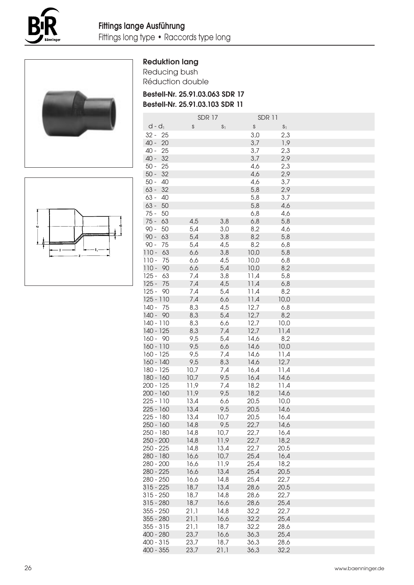





| <b>Reduktion lang</b> |  |
|-----------------------|--|
|-----------------------|--|

Reducing bush Réduction double

Bestell-Nr. 25.91.03.063 SDR 17 Bestell-Nr. 25.91.03.103 SDR 11

|                          |    | <b>SDR 17</b> |                | <b>SDR 11</b> |                |  |
|--------------------------|----|---------------|----------------|---------------|----------------|--|
| $d - d_1$                |    | S             | S <sub>1</sub> | $\mathsf S$   | S <sub>1</sub> |  |
| $32 -$                   | 25 |               |                | 3,0           | 2,3            |  |
| 40 -                     | 20 |               |                | 3,7           | 1,9            |  |
| $40 -$                   | 25 |               |                | 3,7           | 2,3            |  |
| $40 -$                   | 32 |               |                | 3,7           | 2,9            |  |
| $50 -$                   | 25 |               |                | 4,6           | 2,3            |  |
| $50 -$                   | 32 |               |                | 4,6           | 2,9            |  |
| $50 -$                   | 40 |               |                | 4,6           | 3,7            |  |
| $63 -$                   | 32 |               |                | 5,8           | 2,9            |  |
| $63 -$                   | 40 |               |                | 5,8           | 3,7            |  |
| $63 -$                   | 50 |               |                | 5,8           | 4,6            |  |
| 75 -                     | 50 |               |                | 6,8           | 4,6            |  |
| $75 -$                   | 63 | 4,5           | 3,8            | 6,8           | 5,8            |  |
| $90 -$                   | 50 | 5,4           | 3,0            | 8,2           | 4,6            |  |
| $90 -$                   | 63 | 5,4           | 3,8            | 8,2           | 5,8            |  |
| $90 -$                   | 75 | 5,4           | 4,5            | 8,2           | 6,8            |  |
| $110 -$                  | 63 | 6,6           | 3,8            | 10,0          | 5,8            |  |
| $110 -$                  | 75 | 6,6           | 4,5            | 10,0          | 6,8            |  |
| $110 -$                  | 90 | 6,6           | 5,4            | 10,0          | 8,2            |  |
| $125 -$                  | 63 | 7,4           | 3,8            | 11,4          | 5,8            |  |
| $125 -$                  | 75 | 7,4           | 4,5            | 11,4          | 6,8            |  |
| $125 -$                  | 90 | 7,4           | 5,4            | 11,4          | 8,2            |  |
| $125 - 110$              |    | 7,4           | 6,6            | 11,4          | 10,0           |  |
| $140 - 75$               |    | 8,3           | 4,5            | 12,7          | 6,8            |  |
| $140 - 90$               |    | 8,3           | 5,4            | 12,7          | 8,2            |  |
| $140 - 110$              |    | 8,3           | 6,6            | 12,7          | 10,0           |  |
| 140 - 125                |    | 8,3           | 7,4            | 12,7          | 11,4           |  |
| $160 - 90$               |    | 9,5           | 5,4            | 14,6          | 8,2            |  |
| $160 - 110$              |    | 9,5           | 6,6            | 14,6          | 10,0           |  |
| 160 - 125<br>$160 - 140$ |    | 9,5           | 7,4            | 14,6          | 11,4           |  |
|                          |    | 9,5           | 8,3            | 14,6          | 12,7           |  |
| 180 - 125                |    | 10,7          | 7,4<br>9,5     | 16,4          | 11,4           |  |
| 180 - 160<br>$200 - 125$ |    | 10,7<br>11,9  | 7,4            | 16,4<br>18,2  | 14,6<br>11,4   |  |
| $200 - 160$              |    | 11,9          | 9,5            | 18,2          | 14,6           |  |
| $225 - 110$              |    | 13,4          | 6,6            | 20,5          | 10,0           |  |
| 225 - 160                |    | 13,4          | 9,5            | 20,5          | 14,6           |  |
| $225 - 180$              |    | 13,4          | 10,7           | 20.5          | 16,4           |  |
| 250 - 160                |    | 14,8          | 9,5            | 22,7          | 14,6           |  |
| 250 - 180                |    | 14,8          | 10,7           | 22,7          | 16,4           |  |
| $250 - 200$              |    | 14,8          | 11,9           | 22,7          | 18,2           |  |
| 250 - 225                |    | 14,8          | 13,4           | 22,7          | 20,5           |  |
| 280 - 180                |    | 16,6          | 10,7           | 25,4          | 16,4           |  |
| 280 - 200                |    | 16,6          | 11,9           | 25,4          | 18,2           |  |
| 280 - 225                |    | 16,6          | 13,4           | 25,4          | 20,5           |  |
| 280 - 250                |    | 16,6          | 14,8           | 25,4          | 22,7           |  |
| $315 - 225$              |    | 18,7          | 13,4           | 28,6          | 20,5           |  |
| $315 - 250$              |    | 18,7          | 14,8           | 28,6          | 22,7           |  |
| $315 - 280$              |    | 18,7          | 16,6           | 28,6          | 25,4           |  |
| 355 - 250                |    | 21,1          | 14,8           | 32,2          | 22,7           |  |
| 355 - 280                |    | 21,1          | 16,6           | 32,2          | 25,4           |  |
| $355 - 315$              |    | 21,1          | 18,7           | 32,2          | 28,6           |  |
| 400 - 280                |    | 23,7          | 16,6           | 36,3          | 25,4           |  |
| 400 - 315                |    | 23,7          | 18,7           | 36,3          | 28,6           |  |
| $400 - 355$              |    | 23,7          | 21,1           | 36,3          | 32,2           |  |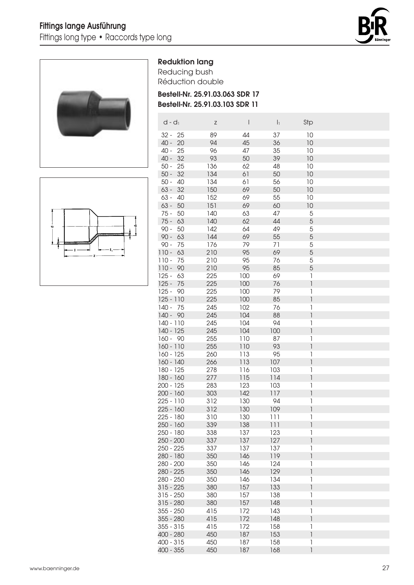





Reducing bush Réduction double

Bestell-Nr. 25.91.03.063 SDR 17 Bestell-Nr. 25.91.03.103 SDR 11

| $d - d_1$     | Ζ   | $\mathsf{l}$ | $\vert$ <sub>1</sub> | Stp                      |  |
|---------------|-----|--------------|----------------------|--------------------------|--|
| 25<br>$32 -$  | 89  | 44           | 37                   | 10                       |  |
| 20<br>40 -    | 94  | 45           | 36                   | 10                       |  |
| 40 -<br>25    | 96  | 47           | 35                   | 10                       |  |
| 40 -<br>32    | 93  | 50           | 39                   | 10                       |  |
| $50 -$<br>25  | 136 | 62           | 48                   | 10                       |  |
| $50 -$<br>32  | 134 | 61           | 50                   | 10                       |  |
| $50 -$<br>40  | 134 | 61           | 56                   | 10                       |  |
| 32<br>$63 -$  | 150 | 69           | 50                   | 10                       |  |
| $63 -$<br>40  | 152 | 69           | 55                   | 10                       |  |
| $63 -$<br>50  | 151 | 69           | 60                   | 10                       |  |
| $75 -$<br>50  | 140 | 63           | 47                   | 5                        |  |
| $75 -$<br>63  | 140 | 62           | 44                   | 5                        |  |
| $90 -$<br>50  | 142 | 64           | 49                   | 5                        |  |
| $90 -$<br>63  | 144 | 69           | 55                   | 5                        |  |
| $90 -$<br>75  | 176 | 79           | 71                   | 5                        |  |
| $110 -$<br>63 | 210 | 95           | 69                   | 5                        |  |
| $110 -$<br>75 | 210 | 95           | 76                   | 5                        |  |
| 90<br>$110 -$ | 210 | 95           | 85                   | 5                        |  |
| $125 -$<br>63 | 225 | 100          | 69                   | 1                        |  |
| $125 -$<br>75 | 225 | 100          | 76                   | 1                        |  |
| $125 -$<br>90 | 225 | 100          | 79                   | 1                        |  |
| $125 - 110$   | 225 | 100          | 85                   | 1                        |  |
| $140 -$<br>75 | 245 | 102          | 76                   | 1                        |  |
| $140 - 90$    | 245 | 104          | 88                   | 1                        |  |
| $140 - 110$   | 245 | 104          | 94                   | 1                        |  |
| 140 - 125     | 245 | 104          | 100                  | 1                        |  |
| $160 - 90$    | 255 | 110          | 87                   | 1                        |  |
| $160 - 110$   | 255 | 110          | 93                   | 1                        |  |
| 160 - 125     | 260 | 113          | 95                   | 1                        |  |
| 160 - 140     | 266 | 113          | 107                  | 1                        |  |
| 180 - 125     | 278 | 116          | 103                  | 1                        |  |
| 180 - 160     | 277 | 115          | 114                  | 1                        |  |
| 200 - 125     | 283 | 123          | 103                  | 1                        |  |
| 200 - 160     | 303 | 142          | 117                  | 1                        |  |
| 225 - 110     | 312 | 130          | 94                   | 1                        |  |
| 225 - 160     | 312 | 130          | 109                  | $\overline{\phantom{a}}$ |  |
| $225 - 180$   | 310 | 130          | 111                  | 1                        |  |
| $250 - 160$   | 339 | 138          | 111                  | $\overline{\phantom{a}}$ |  |
| 250 - 180     | 338 | 137          | 123                  | 1                        |  |
| 250 - 200     | 337 | 137          | 127                  | $\overline{\phantom{a}}$ |  |
| $250 - 225$   | 337 | 137          | 137                  | 1                        |  |
| 280 - 180     | 350 | 146          | 119                  | 1                        |  |
| 280 - 200     | 350 | 146          | 124                  | 1                        |  |
| 280 - 225     | 350 | 146          | 129                  | 1                        |  |
| 280 - 250     | 350 | 146          | 134                  | 1                        |  |
| $315 - 225$   | 380 | 157          | 133                  | 1                        |  |
| $315 - 250$   | 380 | 157          | 138                  | 1                        |  |
| $315 - 280$   | 380 | 157          | 148                  | 1                        |  |
| $355 - 250$   | 415 | 172          | 143                  | 1                        |  |
| 355 - 280     | 415 | 172          | 148                  | 1                        |  |
| $355 - 315$   | 415 | 172          | 158                  | 1                        |  |
| 400 - 280     | 450 | 187          | 153                  | 1                        |  |
| $400 - 315$   | 450 | 187          | 158                  | 1                        |  |
| $400 - 355$   | 450 | 187          | 168                  | 1                        |  |

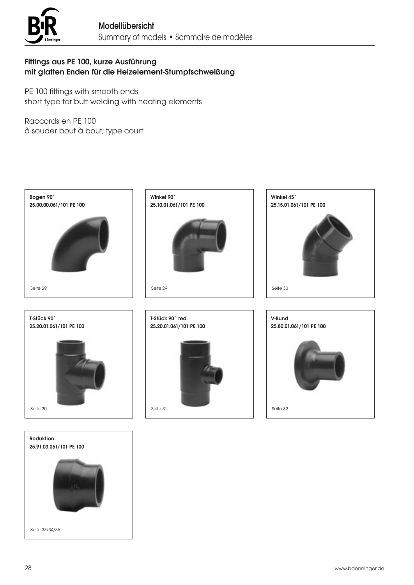

# Fittings aus PE 100, kurze Ausführung mit glatten Enden für die Heizelement-Stumpfschweißung

PE 100 fittings with smooth ends short type for butt-welding with heating elements

Raccords en PE 100 à souder bout à bout; type court



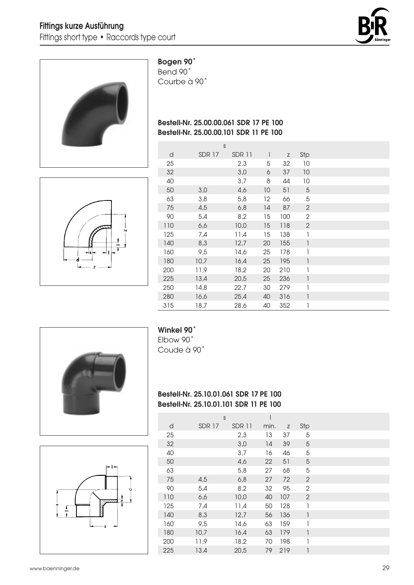



# Bogen 90˚

Bend 90˚ Courbe à 90˚

# Bestell-Nr. 25.00.00.061 SDR 17 PE 100 Bestell-Nr. 25.00.00.101 SDR 11 PE 100



|     |               | S             |                          |             |              |  |
|-----|---------------|---------------|--------------------------|-------------|--------------|--|
| d   | <b>SDR 17</b> | <b>SDR 11</b> | $\overline{\phantom{a}}$ | $\mathsf Z$ | Stp          |  |
| 25  |               | 2,3           | 5                        | 32          | 10           |  |
| 32  |               | 3,0           | 6                        | 37          | 10           |  |
| 40  |               | 3,7           | 8                        | 44          | 10           |  |
| 50  | 3,0           | 4,6           | 10                       | 51          | 5            |  |
| 63  | 3,8           | 5,8           | 12                       | 66          | 5            |  |
| 75  | 4,5           | 6,8           | 14                       | 87          | $\mathbf{2}$ |  |
| 90  | 5,4           | 8,2           | 15                       | 100         | 2            |  |
| 110 | 6,6           | 10,0          | 15                       | 118         | $\mathbf{2}$ |  |
| 125 | 7,4           | 11,4          | 15                       | 138         | 1            |  |
| 140 | 8,3           | 12,7          | 20                       | 155         | 1            |  |
| 160 | 9,5           | 14,6          | 25                       | 178         | 1            |  |
| 180 | 10,7          | 16,4          | 25                       | 195         | 1            |  |
| 200 | 11,9          | 18,2          | 20                       | 210         | 1            |  |
| 225 | 13,4          | 20,5          | 25                       | 236         | 1            |  |
| 250 | 14,8          | 22,7          | 30                       | 279         | 1            |  |
| 280 | 16,6          | 25,4          | 40                       | 316         | 1            |  |
| 315 | 18,7          | 28,6          | 40                       | 352         | 1            |  |





# Winkel 90˚

Elbow 90˚ Coude à 90˚

# Bestell-Nr. 25.10.01.061 SDR 17 PE 100 Bestell-Nr. 25.10.01.101 SDR 11 PE 100

|     | S             |        |      |     |              |  |
|-----|---------------|--------|------|-----|--------------|--|
| d   | <b>SDR 17</b> | SDR 11 | min. | Z   | Stp          |  |
| 25  |               | 2,3    | 13   | 37  | 5            |  |
| 32  |               | 3,0    | 14   | 39  | 5            |  |
| 40  |               | 3,7    | 16   | 46  | 5            |  |
| 50  |               | 4,6    | 22   | 51  | 5            |  |
| 63  |               | 5,8    | 27   | 68  | 5            |  |
| 75  | 4,5           | 6,8    | 27   | 72  | 2            |  |
| 90  | 5,4           | 8,2    | 32   | 95  | $\mathbf{2}$ |  |
| 110 | 6,6           | 10,0   | 40   | 107 | 2            |  |
| 125 | 7,4           | 11,4   | 50   | 128 | 1            |  |
| 140 | 8,3           | 12,7   | 56   | 136 | 1            |  |
| 160 | 9,5           | 14,6   | 63   | 159 | 1            |  |
| 180 | 10,7          | 16,4   | 63   | 179 |              |  |
| 200 | 11,9          | 18,2   | 70   | 198 |              |  |
| 225 | 13,4          | 20,5   | 79   | 219 |              |  |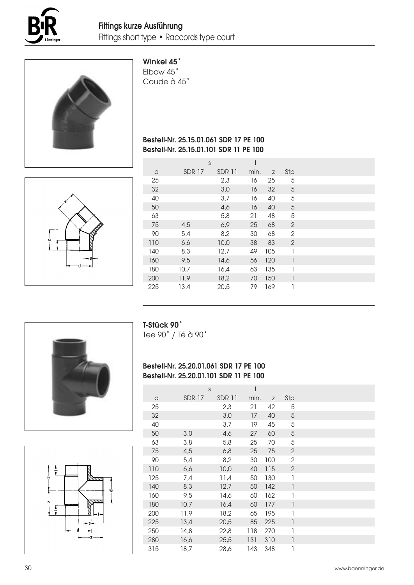



# Winkel 45˚

Elbow 45˚ Coude à 45˚

# Bestell-Nr. 25.15.01.061 SDR 17 PE 100 Bestell-Nr. 25.15.01.101 SDR 11 PE 100



|     |              | S             |      |     |                |  |
|-----|--------------|---------------|------|-----|----------------|--|
| d   | <b>SDR17</b> | <b>SDR 11</b> | min. | Z   | Stp            |  |
| 25  |              | 2,3           | 16   | 25  | 5              |  |
| 32  |              | 3,0           | 16   | 32  | 5              |  |
| 40  |              | 3,7           | 16   | 40  | 5              |  |
| 50  |              | 4,6           | 16   | 40  | 5              |  |
| 63  |              | 5,8           | 21   | 48  | 5              |  |
| 75  | 4,5          | 6,9           | 25   | 68  | $\overline{2}$ |  |
| 90  | 5,4          | 8,2           | 30   | 68  | $\overline{2}$ |  |
| 110 | 6,6          | 10,0          | 38   | 83  | 2              |  |
| 140 | 8,3          | 12,7          | 49   | 105 | 1              |  |
| 160 | 9,5          | 14,6          | 56   | 120 | 1              |  |
| 180 | 10,7         | 16,4          | 63   | 135 | 1              |  |
| 200 | 11,9         | 18,2          | 70   | 150 |                |  |
| 225 | 13,4         | 20,5          | 79   | 169 | 1              |  |
|     |              |               |      |     |                |  |





T-Stück 90˚

Tee 90˚ / Té à 90˚

# Bestell-Nr. 25.20.01.061 SDR 17 PE 100 Bestell-Nr. 25.20.01.101 SDR 11 PE 100

|     |        | S      |      |     |                |  |
|-----|--------|--------|------|-----|----------------|--|
| d   | SDR 17 | SDR 11 | min. | Z   | Stp            |  |
| 25  |        | 2,3    | 21   | 42  | 5              |  |
| 32  |        | 3,0    | 17   | 40  | 5              |  |
| 40  |        | 3,7    | 19   | 45  | 5              |  |
| 50  | 3,0    | 4,6    | 27   | 60  | 5              |  |
| 63  | 3,8    | 5,8    | 25   | 70  | 5              |  |
| 75  | 4,5    | 6,8    | 25   | 75  | $\overline{2}$ |  |
| 90  | 5,4    | 8,2    | 30   | 100 | $\mathbf{2}$   |  |
| 110 | 6,6    | 10,0   | 40   | 115 | $\overline{2}$ |  |
| 125 | 7,4    | 11,4   | 50   | 130 | 1              |  |
| 140 | 8,3    | 12,7   | 50   | 142 | 1              |  |
| 160 | 9,5    | 14,6   | 60   | 162 | 1              |  |
| 180 | 10,7   | 16,4   | 60   | 177 | 1              |  |
| 200 | 11,9   | 18,2   | 65   | 195 | 1              |  |
| 225 | 13,4   | 20,5   | 85   | 225 | 1              |  |
| 250 | 14,8   | 22,8   | 118  | 270 | 1              |  |
| 280 | 16,6   | 25,5   | 131  | 310 | 1              |  |
| 315 | 18,7   | 28,6   | 143  | 348 | 1              |  |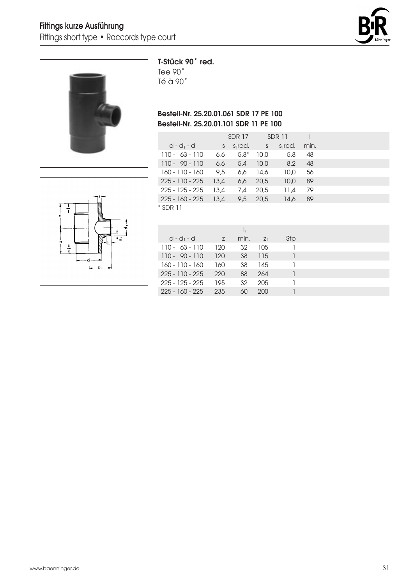



# T-Stück 90˚ red.

Tee 90˚ Té à 90˚

# Bestell-Nr. 25.20.01.061 SDR 17 PE 100 Bestell-Nr. 25.20.01.101 SDR 11 PE 100

|                   |      | SDR 17    |      | SDR 11    |      |  |
|-------------------|------|-----------|------|-----------|------|--|
| $d - d_1 - d$     | S.   | $s1$ red. |      | $s1$ red. | min. |  |
| $110 - 63 - 110$  | 6,6  | $5.8*$    | 10.0 | 5,8       | 48   |  |
| $110 - 90 - 110$  | 6,6  | 5.4       | 10.0 | 8,2       | 48   |  |
| 160 - 110 - 160   | 9.5  | 6.6       | 14.6 | 10.0      | 56   |  |
| $225 - 110 - 225$ | 13.4 | 6,6       | 20.5 | 10,0      | 89   |  |
| 225 - 125 - 225   | 13.4 | 7.4       | 20.5 | 11.4      | 79   |  |
| $225 - 160 - 225$ | 13.4 | 9,5       | 20.5 | 14.6      | 89   |  |
| $*$ SDR 11        |      |           |      |           |      |  |



| $d - d_1 - d_2$<br>Stp<br>min.<br>Z<br>$Z_1$<br>$110 - 63 - 110$<br>32<br>120<br>105<br>38<br>$110 - 90 - 110$<br>120<br>115<br>38<br>160 - 110 - 160<br>145<br>160<br>225 - 110 - 225<br>88<br>220<br>264<br>32<br>$225 - 125 - 225$<br>195<br>205 |  |  |  |
|-----------------------------------------------------------------------------------------------------------------------------------------------------------------------------------------------------------------------------------------------------|--|--|--|
|                                                                                                                                                                                                                                                     |  |  |  |
|                                                                                                                                                                                                                                                     |  |  |  |
|                                                                                                                                                                                                                                                     |  |  |  |
|                                                                                                                                                                                                                                                     |  |  |  |
|                                                                                                                                                                                                                                                     |  |  |  |
|                                                                                                                                                                                                                                                     |  |  |  |
| 225 - 160 - 225<br>235<br>60<br>200                                                                                                                                                                                                                 |  |  |  |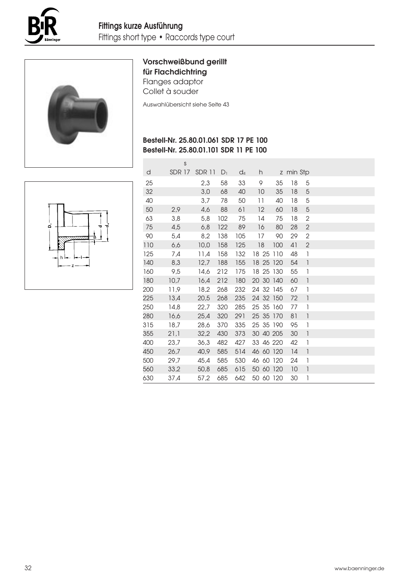



# Vorschweißbund gerillt für Flachdichtring

Flanges adaptor Collet à souder

Auswahlübersicht siehe Seite 43

# Bestell-Nr. 25.80.01.061 SDR 17 PE 100 Bestell-Nr. 25.80.01.101 SDR 11 PE 100



|     | S             |        |       |       |           |     |           |                                       |  |
|-----|---------------|--------|-------|-------|-----------|-----|-----------|---------------------------------------|--|
| d   | <b>SDR 17</b> | SDR 11 | $D_1$ | $d_4$ | h.        |     | z min Stp |                                       |  |
| 25  |               | 2,3    | 58    | 33    | 9         | 35  | 18        | 5                                     |  |
| 32  |               | 3,0    | 68    | 40    | 10        | 35  | 18        | 5                                     |  |
| 40  |               | 3,7    | 78    | 50    | 11        | 40  | 18        | 5                                     |  |
| 50  | 2,9           | 4,6    | 88    | 61    | 12        | 60  | 18        | 5                                     |  |
| 63  | 3,8           | 5,8    | 102   | 75    | 14        | 75  | 18        | $\mathbf{2}$                          |  |
| 75  | 4,5           | 6,8    | 122   | 89    | 16        | 80  | 28        | $\mathbf{2}$                          |  |
| 90  | 5,4           | 8,2    | 138   | 105   | 17        | 90  | 29        | $\mathbf{2}$                          |  |
| 110 | 6,6           | 10,0   | 158   | 125   | 18        | 100 | 41        | $\overline{2}$                        |  |
| 125 | 7,4           | 11,4   | 158   | 132   | 18 25 110 |     | 48        | 1                                     |  |
| 140 | 8,3           | 12,7   | 188   | 155   | 18 25 120 |     | 54        | $\begin{array}{c} \hline \end{array}$ |  |
| 160 | 9,5           | 14,6   | 212   | 175   | 18 25 130 |     | 55        | $\mathbb{I}$                          |  |
| 180 | 10,7          | 16,4   | 212   | 180   | 20 30 140 |     | 60        | $\ensuremath{\mathsf{I}}$             |  |
| 200 | 11,9          | 18,2   | 268   | 232   | 24 32 145 |     | 67        | $\mathbf{1}$                          |  |
| 225 | 13,4          | 20,5   | 268   | 235   | 24 32 150 |     | 72        | $\begin{array}{c} \hline \end{array}$ |  |
| 250 | 14.8          | 22,7   | 320   | 285   | 25 35 160 |     | 77        | $\mathbf{1}$                          |  |
| 280 | 16,6          | 25,4   | 320   | 291   | 25 35 170 |     | 81        | $\overline{\phantom{a}}$              |  |
| 315 | 18,7          | 28,6   | 370   | 335   | 25 35 190 |     | 95        | $\mathbf{1}$                          |  |
| 355 | 21,1          | 32,2   | 430   | 373   | 30 40 205 |     | 30        | $\begin{array}{c} \hline \end{array}$ |  |
| 400 | 23,7          | 36,3   | 482   | 427   | 33 46 220 |     | 42        | 1                                     |  |
| 450 | 26,7          | 40,9   | 585   | 514   | 46 60 120 |     | 14        | $\mathbf{1}$                          |  |
| 500 | 29,7          | 45,4   | 585   | 530   | 46 60 120 |     | 24        | $\mathbf{1}$                          |  |
| 560 | 33,2          | 50,8   | 685   | 615   | 50 60 120 |     | 10        | $\mathbf{1}$                          |  |
| 630 | 37,4          | 57.2   | 685   | 642   | 50 60 120 |     | 30        | 1                                     |  |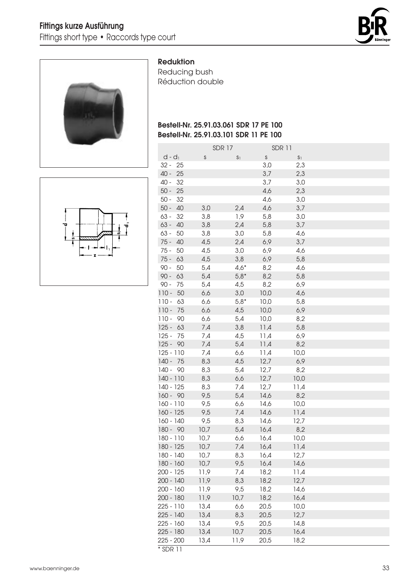



#### Reduktion

Reducing bush Réduction double

# Bestell-Nr. 25.91.03.061 SDR 17 PE 100 Bestell-Nr. 25.91.03.101 SDR 11 PE 100

SDR 17 SDR 11

| $d - d_1$     | S    | S <sub>1</sub> | $\mathsf S$ | S <sub>1</sub> |  |
|---------------|------|----------------|-------------|----------------|--|
| $32 - 25$     |      |                | 3,0         | 2,3            |  |
| 40 -<br>25    |      |                | 3,7         | 2,3            |  |
| 40 -<br>32    |      |                | 3,7         | 3,0            |  |
| $50 -$<br>25  |      |                | 4,6         | 2,3            |  |
| $50 -$<br>32  |      |                | 4,6         | 3,0            |  |
| $50 -$<br>40  | 3,0  | 2,4            | 4,6         | 3,7            |  |
| $63 -$<br>32  | 3,8  | 1,9            | 5,8         | 3,0            |  |
| $63 -$<br>40  | 3,8  | 2,4            | 5,8         | 3,7            |  |
| 63 -<br>50    | 3,8  | 3,0            | 5,8         | 4,6            |  |
| $75 -$<br>40  | 4,5  | 2,4            | 6,9         | 3,7            |  |
| $75 -$<br>50  | 4,5  | 3,0            | 6,9         | 4,6            |  |
| $75 -$<br>63  | 4,5  | 3,8            | 6,9         | 5,8            |  |
| $90 -$<br>50  | 5,4  | $4,6*$         | 8,2         | 4,6            |  |
| $90 -$<br>63  | 5,4  | $5,8*$         | 8,2         | 5,8            |  |
| $90 -$<br>75  | 5,4  | 4,5            | 8,2         | 6,9            |  |
| $110 -$<br>50 | 6,6  | 3,0            | 10,0        | 4,6            |  |
| $110 -$<br>63 | 6,6  | $5,8*$         | 10,0        | 5,8            |  |
| $110 -$<br>75 | 6,6  | 4,5            | 10,0        | 6,9            |  |
| $110 -$<br>90 | 6,6  | 5,4            | 10,0        | 8,2            |  |
| $125 -$<br>63 | 7,4  | 3,8            | 11,4        | 5,8            |  |
| $125 -$<br>75 | 7,4  | 4,5            | 11,4        | 6,9            |  |
| $125 - 90$    | 7,4  | 5,4            | 11,4        | 8,2            |  |
| $125 - 110$   | 7,4  | 6,6            | 11,4        | 10,0           |  |
| $140 - 75$    | 8,3  | 4,5            | 12,7        | 6,9            |  |
| $140 - 90$    | 8,3  | 5,4            | 12,7        | 8,2            |  |
| 140 - 110     | 8,3  | 6,6            | 12,7        | 10,0           |  |
| 140 - 125     | 8,3  | 7,4            | 12,7        | 11,4           |  |
| $160 - 90$    | 9,5  | 5,4            | 14,6        | 8,2            |  |
| 160 - 110     | 9,5  | 6,6            | 14,6        | 10,0           |  |
| 160 - 125     | 9,5  | 7,4            | 14,6        | 11,4           |  |
| 160 - 140     | 9,5  | 8,3            | 14,6        | 12,7           |  |
| $180 - 90$    | 10,7 | 5,4            | 16,4        | 8,2            |  |
| 180 - 110     | 10,7 | 6,6            | 16,4        | 10,0           |  |
| 180 - 125     | 10,7 | 7,4            | 16,4        | 11,4           |  |
| 180 - 140     | 10,7 | 8,3            | 16,4        | 12,7           |  |
| $180 - 160$   | 10,7 | 9,5            | 16,4        | 14,6           |  |
| 200 - 125     | 11,9 | 7,4            | 18,2        | 11,4           |  |
| 200 - 140     | 11,9 | 8,3            | 18,2        | 12,7           |  |
| $200 - 160$   | 11,9 | 9,5            | 18,2        | 14,6           |  |
| $200 - 180$   | 11,9 | 10,7           | 18,2        | 16,4           |  |
| 225 - 110     | 13,4 | 6,6            | 20,5        | 10,0           |  |
| 225 - 140     | 13,4 | 8,3            | 20,5        | 12.7           |  |

225 - 160 13,4 9,5 20,5 14,8 225 - 180 13,4 10,7 20,5 16,4 225 - 200 13,4 11,9 20,5 18,2

\* SDR 11

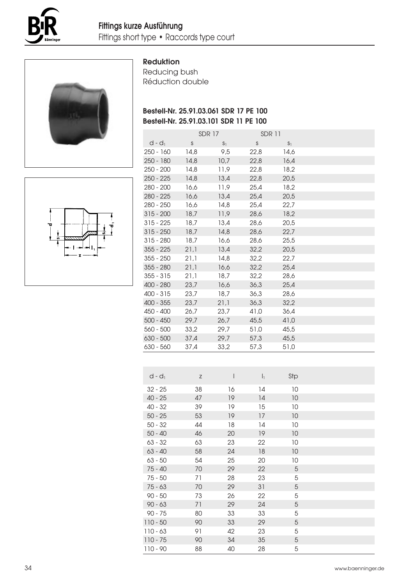



#### Reduktion

Reducing bush Réduction double

# Bestell-Nr. 25.91.03.061 SDR 17 PE 100 Bestell-Nr. 25.91.03.101 SDR 11 PE 100

|             |      | <b>SDR 17</b>  | <b>SDR11</b> |                |  |
|-------------|------|----------------|--------------|----------------|--|
| $d - d_1$   | S    | S <sub>1</sub> | $\mathsf{S}$ | S <sub>1</sub> |  |
| $250 - 160$ | 14,8 | 9,5            | 22,8         | 14,6           |  |
| $250 - 180$ | 14,8 | 10,7           | 22,8         | 16,4           |  |
| $250 - 200$ | 14.8 | 11,9           | 22.8         | 18,2           |  |
| $250 - 225$ | 14,8 | 13,4           | 22,8         | 20,5           |  |
| $280 - 200$ | 16.6 | 11,9           | 25.4         | 18,2           |  |
| $280 - 225$ | 16,6 | 13,4           | 25,4         | 20,5           |  |
| $280 - 250$ | 16,6 | 14,8           | 25,4         | 22,7           |  |
| $315 - 200$ | 18,7 | 11,9           | 28,6         | 18,2           |  |
| $315 - 225$ | 18,7 | 13,4           | 28,6         | 20,5           |  |
| $315 - 250$ | 18,7 | 14,8           | 28,6         | 22,7           |  |
| $315 - 280$ | 18,7 | 16,6           | 28,6         | 25,5           |  |
| $355 - 225$ | 21,1 | 13,4           | 32,2         | 20,5           |  |
| $355 - 250$ | 21.1 | 14.8           | 32.2         | 22.7           |  |
| $355 - 280$ | 21.1 | 16.6           | 32.2         | 25.4           |  |
| $355 - 315$ | 21,1 | 18,7           | 32,2         | 28,6           |  |
| $400 - 280$ | 23,7 | 16.6           | 36,3         | 25,4           |  |
| $400 - 315$ | 23,7 | 18,7           | 36,3         | 28,6           |  |
| $400 - 355$ | 23,7 | 21,1           | 36,3         | 32,2           |  |
| 450 - 400   | 26,7 | 23,7           | 41,0         | 36,4           |  |
| $500 - 450$ | 29,7 | 26,7           | 45,5         | 41,0           |  |
| $560 - 500$ | 33.2 | 29.7           | 51,0         | 45,5           |  |
| $630 - 500$ | 37,4 | 29,7           | 57,3         | 45,5           |  |
| $630 - 560$ | 37,4 | 33,2           | 57,3         | 51,0           |  |

| $d - d_1$  | $\mathsf Z$ |    | $\mathsf{I}_1$ | Stp |  |
|------------|-------------|----|----------------|-----|--|
| $32 - 25$  | 38          | 16 | 14             | 10  |  |
| $40 - 25$  | 47          | 19 | 4              | 10  |  |
| $40 - 32$  | 39          | 19 | 15             | 10  |  |
| $50 - 25$  | 53          | 19 | 17             | 10  |  |
| $50 - 32$  | 44          | 18 | 14             | 10  |  |
| $50 - 40$  | 46          | 20 | 19             | 10  |  |
| $63 - 32$  | 63          | 23 | 22             | 10  |  |
| $63 - 40$  | 58          | 24 | 18             | 10  |  |
| $63 - 50$  | 54          | 25 | 20             | 10  |  |
| $75 - 40$  | 70          | 29 | 22             | 5   |  |
| $75 - 50$  | 71          | 28 | 23             | 5   |  |
| $75 - 63$  | 70          | 29 | 31             | 5   |  |
| $90 - 50$  | 73          | 26 | 22             | 5   |  |
| $90 - 63$  | 71          | 29 | 24             | 5   |  |
| $90 - 75$  | 80          | 33 | 33             | 5   |  |
| $110 - 50$ | 90          | 33 | 29             | 5   |  |
| $110 - 63$ | 91          | 42 | 23             | 5   |  |
| $110 - 75$ | 90          | 34 | 35             | 5   |  |
| $110 - 90$ | 88          | 40 | 28             | 5   |  |

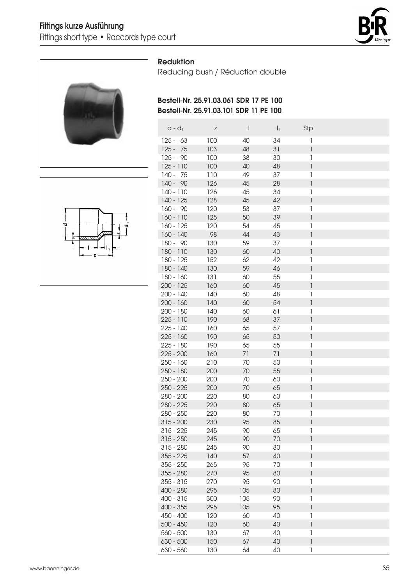



### Reduktion

Reducing bush / Réduction double

# Bestell-Nr. 25.91.03.061 SDR 17 PE 100 Bestell-Nr. 25.91.03.101 SDR 11 PE 100

|         | $d - d_1$   | Ζ   | $\overline{\phantom{a}}$ | $\mathsf{I}_1$ | Stp                                   |
|---------|-------------|-----|--------------------------|----------------|---------------------------------------|
| $125 -$ | 63          | 100 | 40                       | 34             | 1                                     |
| $125 -$ | 75          | 103 | 48                       | 31             | 1                                     |
|         | $125 - 90$  | 100 | 38                       | 30             | 1                                     |
|         | $125 - 110$ | 100 | 40                       | 48             | 1                                     |
|         | $140 - 75$  | 110 | 49                       | 37             | 1                                     |
|         | $140 - 90$  | 126 | 45                       | 28             | $\ensuremath{\mathsf{I}}$             |
|         | $140 - 110$ | 126 | 45                       | 34             | $\begin{array}{c} \hline \end{array}$ |
|         | 140 - 125   | 128 | 45                       | 42             | 1                                     |
|         | $160 - 90$  | 120 | 53                       | 37             | 1                                     |
|         | $160 - 110$ | 125 | 50                       | 39             | $\overline{\phantom{a}}$              |
|         | $160 - 125$ | 120 | 54                       | 45             | 1                                     |
|         | 160 - 140   | 98  | 44                       | 43             | $\overline{\phantom{a}}$              |
|         | 180 - 90    | 130 | 59                       | 37             | 1                                     |
|         | 180 - 110   | 130 | 60                       | 40             | $\begin{array}{c} \hline \end{array}$ |
|         | 180 - 125   | 152 | 62                       | 42             | 1                                     |
|         | 180 - 140   | 130 | 59                       | 46             | $\begin{array}{c} \hline \end{array}$ |
|         | 180 - 160   | 131 | 60                       | 55             | 1                                     |
|         | $200 - 125$ | 160 | 60                       | 45             | $\begin{array}{c} \hline \end{array}$ |
|         | 200 - 140   | 140 | 60                       | 48             | 1                                     |
|         | $200 - 160$ | 140 | 60                       | 54             | $\overline{1}$                        |
|         | 200 - 180   | 140 | 60                       | 61             | 1                                     |
|         | 225 - 110   | 190 | 68                       | 37             | $\overline{1}$                        |
|         | 225 - 140   | 160 | 65                       | 57             | 1                                     |
|         | $225 - 160$ | 190 | 65                       | 50             | $\overline{\phantom{a}}$              |
|         | 225 - 180   | 190 | 65                       | 55             | $\begin{array}{c} \hline \end{array}$ |
|         | $225 - 200$ | 160 | 71                       | 71             | $\overline{\phantom{a}}$              |
|         | $250 - 160$ | 210 | 70                       | 50             | 1                                     |
|         | $250 - 180$ | 200 | 70                       | 55             | $\ensuremath{\mathsf{I}}$             |
|         | $250 - 200$ | 200 | 70                       | 60             | $\begin{array}{c} \hline \end{array}$ |
|         | $250 - 225$ | 200 | 70                       | 65             | $\ensuremath{\mathsf{I}}$             |
|         | 280 - 200   | 220 | 80                       | 60             | $\begin{array}{c} \hline \end{array}$ |
|         | 280 - 225   | 220 | 80                       | 65             | 1                                     |
|         | 280 - 250   | 220 | 80                       | 70             | 1                                     |
|         | $315 - 200$ | 230 | 95                       | 85             | $\overline{\phantom{a}}$              |
|         | 315 - 225   | 245 | 90                       | 65             | 1                                     |
|         | $315 - 250$ | 245 | 90                       | 70             | 1                                     |
|         | $315 - 280$ | 245 | 90                       | 80             | 1                                     |
|         | $355 - 225$ | 140 | 57                       | 40             | $\overline{\phantom{a}}$              |
|         | $355 - 250$ | 265 | 95                       | 70             | 1                                     |
|         | $355 - 280$ | 270 | 95                       | 80             | 1                                     |
|         | $355 - 315$ | 270 | 95                       | 90             | 1                                     |
|         | 400 - 280   | 295 | 105                      | 80             | 1                                     |
|         | $400 - 315$ | 300 | 105                      | 90             | 1                                     |
|         | 400 - 355   | 295 | 105                      | 95             | $\overline{\phantom{a}}$              |
|         | 450 - 400   | 120 | 60                       | 40             | 1                                     |
|         | $500 - 450$ | 120 | 60                       | 40             | 1                                     |
|         | 560 - 500   | 130 | 67                       | 40             | 1                                     |
|         | 630 - 500   | 150 | 67                       | 40             | 1                                     |
|         | 630 - 560   | 130 | 64                       | 40             | 1                                     |

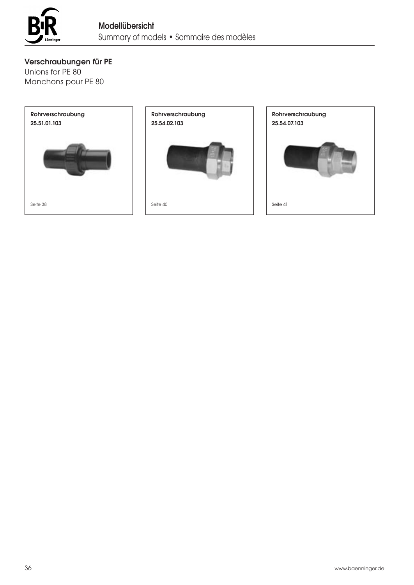

Verschraubungen für PE

Unions for PE 80 Manchons pour PE 80



Rohrverschraubung 25.54.02.103



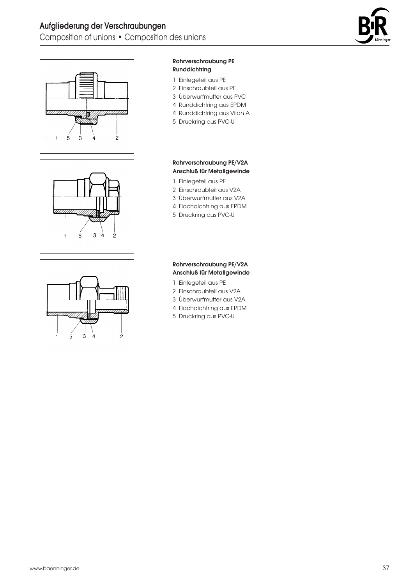



#### Rohrverschraubung PE Runddichtring

- 1 Einlegeteil aus PE
- 2 Einschraubteil aus PE
- 3 Überwurfmutter aus PVC
- 4 Runddichtring aus EPDM
- 4 Runddichtring aus Viton A
- 5 Druckring aus PVC-U

# $\dot{3}$  $\overline{5}$ À 2

#### Rohrverschraubung PE/V2A Anschluß für Metallgewinde 1 Einlegeteil aus PE 2 Einschraubteil aus V2A 3 Überwurfmutter aus V2A

- 4 Flachdichtring aus EPDM
- 5 Druckring aus PVC-U



#### Rohrverschraubung PE/V2A Anschluß für Metallgewinde

- 1 Einlegeteil aus PE
- 2 Einschraubteil aus V2A
- 3 Überwurfmutter aus V2A
- 4 Flachdichtring aus EPDM
- 5 Druckring aus PVC-U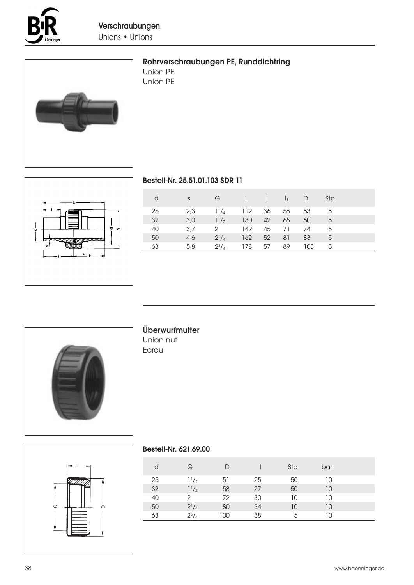



# Rohrverschraubungen PE, Runddichtring

Union PE Union PE



# Bestell-Nr. 25.51.01.103 SDR 11

| d  | <sub>S</sub> | G              |        |    | $\lfloor \qquad \rfloor \qquad \lfloor \qquad \rfloor$ | $\Box$ | Stp |  |
|----|--------------|----------------|--------|----|--------------------------------------------------------|--------|-----|--|
| 25 | 2,3          | $1^{1}/_{4}$   | 112 36 |    | 56                                                     | 53     | 5   |  |
| 32 | 3.0          | $1^{1}/_{2}$   | 130    | 42 | 65                                                     | 60     | -5  |  |
| 40 | 3.7          | $\overline{2}$ | 142    | 45 | 71                                                     | 74     | - 5 |  |
| 50 | 4,6          | $2^{1}/_{4}$   | 162    | 52 | -81                                                    | 83     | -5  |  |
| 63 | 5,8          | $2^{3}/_{4}$   | 178    | 57 | 89                                                     | 103    | - 5 |  |



# Überwurfmutter

Union nut Ecrou



#### Bestell-Nr. 621.69.00

| d  | G            | D   |    | Stp | bar |  |
|----|--------------|-----|----|-----|-----|--|
| 25 | $1^{1}/_{4}$ | 51  | 25 | 50  | 10  |  |
| 32 | $1^{1}/2$    | 58  | 27 | 50  | 10  |  |
| 40 | 2            | 72  | 30 | 10  | 10  |  |
| 50 | $2^{1}/4$    | 80  | 34 | 10  | 10  |  |
| 63 | $2^{3}/_{4}$ | 100 | 38 | 5   | 10  |  |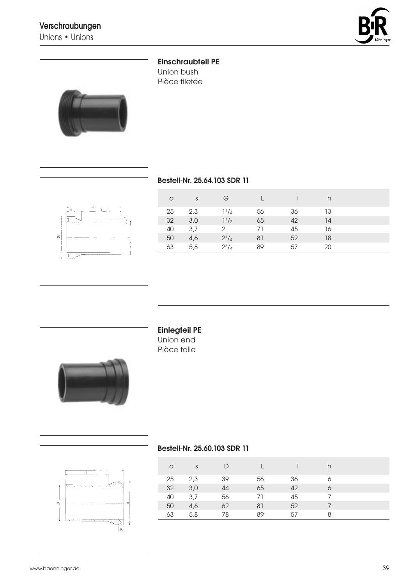# Verschraubungen

Unions • Unions





#### Einschraubteil PE

Union bush Pièce filetée



# Bestell-Nr. 25.64.103 SDR 11

| d  | S   | G            |    |    | h  |  |
|----|-----|--------------|----|----|----|--|
| 25 | 2,3 | $1^{1}/4$    | 56 | 36 | 13 |  |
| 32 | 3,0 | $1^{1}/2$    | 65 | 42 | 14 |  |
| 40 | 3,7 | 2            | 71 | 45 | 16 |  |
| 50 | 4,6 | $2^{1}/4$    | 81 | 52 | 18 |  |
| 63 | 5,8 | $2^{3}/_{4}$ | 89 | 57 | 20 |  |



# Einlegteil PE Union end

Pièce folle



#### Bestell-Nr. 25.60.103 SDR 11

| d  | S   | D  |    |    | h |  |
|----|-----|----|----|----|---|--|
| 25 | 2,3 | 39 | 56 | 36 |   |  |
| 32 | 3,0 | 44 | 65 | 42 |   |  |
| 40 | 3,7 | 56 | 71 | 45 |   |  |
| 50 | 4,6 | 62 | 81 | 52 |   |  |
| 63 | 5,8 | 78 | 89 | 57 | 8 |  |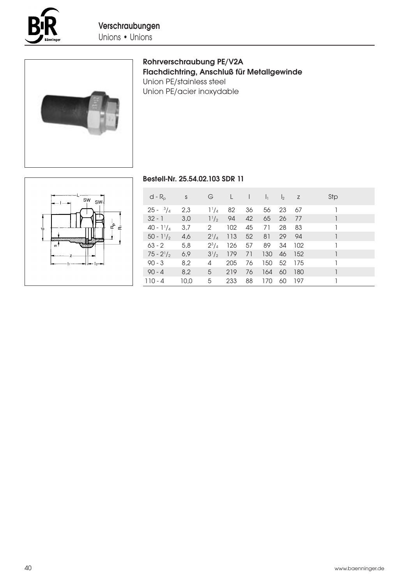



# Rohrverschraubung PE/V2A Flachdichtring, Anschluß für Metallgewinde Union PE/stainless steel Union PE/acier inoxydable

# $\overline{\mathsf{sw}}$  $SW<sub>1</sub>$ ڝ ċ

#### Bestell-Nr. 25.54.02.103 SDR 11

| $d - R_{p}$         | S    | G              | Œ   | $\perp$ |     | $l_1$ $l_2$ z |     | Stp |
|---------------------|------|----------------|-----|---------|-----|---------------|-----|-----|
| $25 - \frac{3}{4}$  | 2,3  | $1^{1}/_{4}$   | 82  | 36      | 56  | 23            | -67 |     |
| $32 - 1$            | 3,0  | $1^{1/2}$      | -94 | 42      | 65  | 26            | -77 |     |
| 40 - $1\frac{1}{4}$ | 3,7  | $\mathbf{2}$   | 102 | 45      | 71  | 28            | 83  |     |
| $50 - 1\frac{1}{2}$ | 4,6  | $2^{1}/_{4}$   | 113 | 52      | 81  | 29            | 94  |     |
| $63 - 2$            | 5,8  | $2^{3}/_{4}$   | 126 | 57      | 89  | 34            | 102 |     |
| $75 - 2^{1}/2$      | 6,9  | $3^{1}/_{2}$   | 179 | 71      | 130 | 46            | 152 |     |
| $90 - 3$            | 8,2  | 4              | 205 | 76      | 150 | - 52          | 175 |     |
| $90 - 4$            | 8,2  | 5 <sup>5</sup> | 219 | 76      | 164 | -60           | 180 |     |
| $110 - 4$           | 10,0 | 5              | 233 | 88      | 170 | 60            | 197 |     |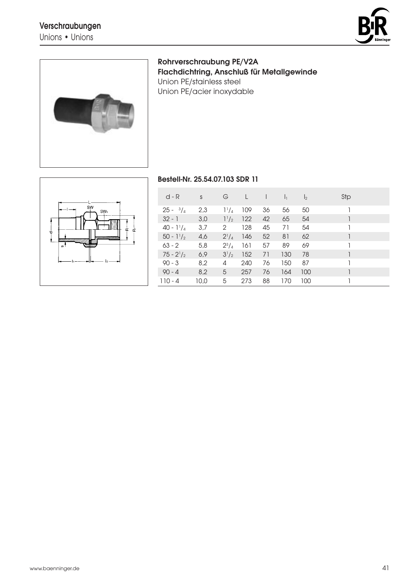Unions • Unions





Rohrverschraubung PE/V2A Flachdichtring, Anschluß für Metallgewinde Union PE/stainless steel Union PE/acier inoxydable



# Bestell-Nr. 25.54.07.103 SDR 11

| $d - R$             | S    | G            |     |    | $\mathbf{I}$ | $\mathsf{I}_2$ | Stp |
|---------------------|------|--------------|-----|----|--------------|----------------|-----|
| $25 - \frac{3}{4}$  | 2,3  | $1^1$ / $_4$ | 109 | 36 | 56           | 50             |     |
| $32 - 1$            | 3,0  | $1^{1}/_{2}$ | 122 | 42 | 65           | 54             |     |
| 40 - $1\frac{1}{4}$ | 3,7  | 2            | 128 | 45 | 71           | 54             |     |
| $50 - 1\frac{1}{2}$ | 4,6  | $2^{1}/_{4}$ | 146 | 52 | 81           | 62             |     |
| $63 - 2$            | 5,8  | $2^{3}/_{4}$ | 161 | 57 | 89           | 69             |     |
| $75 - 2^{1}/2$      | 6,9  | $3^{1}/_{2}$ | 152 | 71 | 130          | 78             |     |
| $90 - 3$            | 8,2  | 4            | 240 | 76 | 150          | 87             |     |
| $90 - 4$            | 8,2  | 5            | 257 | 76 | 164          | 100            |     |
| $110 - 4$           | 10,0 | 5            | 273 | 88 | 170          | 100            |     |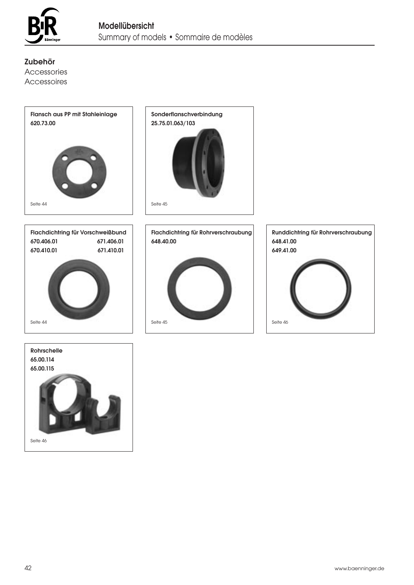

Zubehör Accessories Accessoires



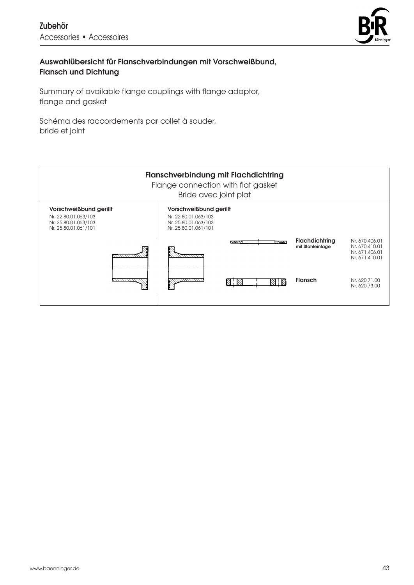

# Auswahlübersicht für Flanschverbindungen mit Vorschweißbund, Flansch und Dichtung

Summary of available flange couplings with flange adaptor, flange and gasket

Schéma des raccordements par collet à souder, bride et joint

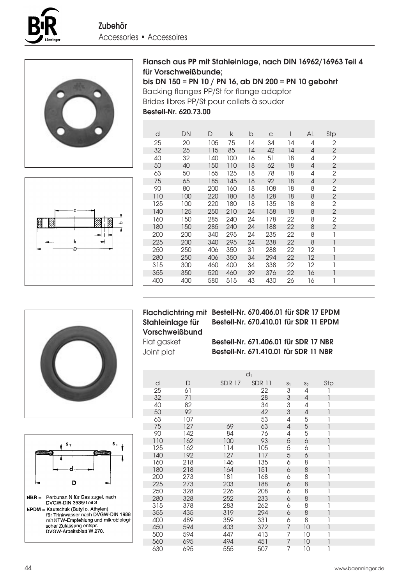







| d   | DΝ  | D   | k   | b  | C   |    | AL | Stp            |  |
|-----|-----|-----|-----|----|-----|----|----|----------------|--|
| 25  | 20  | 105 | 75  | 14 | 34  | 14 | 4  | $\overline{2}$ |  |
| 32  | 25  | 115 | 85  | 14 | 42  | 14 | 4  | $\overline{2}$ |  |
| 40  | 32  | 140 | 100 | 16 | 51  | 18 | 4  | 2              |  |
| 50  | 40  | 150 | 110 | 18 | 62  | 18 | 4  | 2              |  |
| 63  | 50  | 165 | 125 | 18 | 78  | 18 | 4  | 2              |  |
| 75  | 65  | 185 | 145 | 18 | 92  | 18 | 4  | $\overline{2}$ |  |
| 90  | 80  | 200 | 160 | 18 | 108 | 18 | 8  | 2              |  |
| 110 | 100 | 220 | 180 | 18 | 128 | 18 | 8  | $\overline{2}$ |  |
| 125 | 100 | 220 | 180 | 18 | 135 | 18 | 8  | 2              |  |
| 140 | 125 | 250 | 210 | 24 | 158 | 18 | 8  | $\overline{2}$ |  |
| 160 | 150 | 285 | 240 | 24 | 178 | 22 | 8  | $\overline{2}$ |  |
| 180 | 150 | 285 | 240 | 24 | 188 | 22 | 8  | $\overline{2}$ |  |
| 200 | 200 | 340 | 295 | 24 | 235 | 22 | 8  |                |  |
| 225 | 200 | 340 | 295 | 24 | 238 | 22 | 8  |                |  |
| 250 | 250 | 406 | 350 | 31 | 288 | 22 | 12 |                |  |
| 280 | 250 | 406 | 350 | 34 | 294 | 22 | 12 |                |  |
| 315 | 300 | 460 | 400 | 34 | 338 | 22 | 12 |                |  |
| 355 | 350 | 520 | 460 | 39 | 376 | 22 | 16 |                |  |
| 400 | 400 | 580 | 515 | 43 | 430 | 26 | 16 | 1              |  |





| <b>Flachdichtring mit</b> |
|---------------------------|
| Stahleinlage für          |
| <b>Vorschweißbund</b>     |
| Flat gasket               |

Joint plat

Bestell-Nr. 670.406.01 für SDR 17 EPDM Bestell-Nr. 670.410.01 für SDR 11 EPDM

Bestell-Nr. 671.406.01 für SDR 17 NBR Bestell-Nr. 671.410.01 für SDR 11 NBR

|     |              |               | $d_1$         |                           |       |     |  |
|-----|--------------|---------------|---------------|---------------------------|-------|-----|--|
| d   | $\mathsf{D}$ | <b>SDR 17</b> | <b>SDR 11</b> | S <sub>1</sub>            | $S_2$ | Stp |  |
| 25  | 61           |               | 22            | 3                         | 4     |     |  |
| 32  | 71           |               | 28            | $\ensuremath{\mathsf{3}}$ | 4     |     |  |
| 40  | 82           |               | 34            | 3                         | 4     |     |  |
| 50  | 92           |               | 42            | 3                         | 4     |     |  |
| 63  | 107          |               | 53            | 4                         | 5     |     |  |
| 75  | 127          | 69            | 63            | $\overline{4}$            | 5     |     |  |
| 90  | 142          | 84            | 76            | 4                         | 5     |     |  |
| 110 | 162          | 100           | 93            | 5                         | 6     |     |  |
| 125 | 162          | 114           | 105           | 5                         | 6     |     |  |
| 140 | 192          | 127           | 117           | 5                         | 6     |     |  |
| 160 | 218          | 146           | 135           | 6                         | 8     |     |  |
| 180 | 218          | 164           | 151           | 6                         | 8     | 1   |  |
| 200 | 273          | 181           | 168           | 6                         | 8     |     |  |
| 225 | 273          | 203           | 188           | 6                         | 8     | 1   |  |
| 250 | 328          | 226           | 208           | 6                         | 8     |     |  |
| 280 | 328          | 252           | 233           | 6                         | 8     | 1   |  |
| 315 | 378          | 283           | 262           | 6                         | 8     |     |  |
| 355 | 435          | 319           | 294           | 6                         | 8     | 1   |  |
| 400 | 489          | 359           | 331           | 6                         | 8     |     |  |
| 450 | 594          | 403           | 372           | 7                         | 10    | 1   |  |
| 500 | 594          | 447           | 413           | 7                         | 10    |     |  |
| 560 | 695          | 494           | 451           | 7                         | 10    | 1   |  |
| 630 | 695          | 555           | 507           | 7                         | 10    |     |  |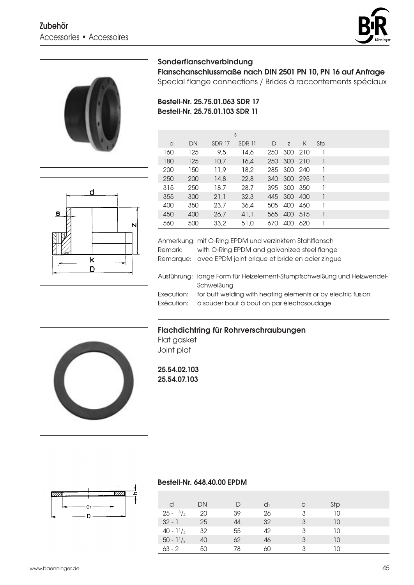# Zubehör Accessories • Accessoires





d

 $\overline{\mathsf{k}}$ D N

S

# Sonderflanschverbindung

Flanschanschlussmaße nach DIN 2501 PN 10, PN 16 auf Anfrage

Special flange connections / Brides à raccontements spéciaux

# Bestell-Nr. 25.75.01.063 SDR 17 Bestell-Nr. 25.75.01.103 SDR 11

|     |     |               | S      |     |             |       |     |  |
|-----|-----|---------------|--------|-----|-------------|-------|-----|--|
| d   | DN  | <b>SDR 17</b> | SDR 11 | D   | Z           | K     | Stp |  |
| 160 | 125 | 9,5           | 14,6   | 250 | 300 210     |       |     |  |
| 180 | 125 | 10,7          | 16,4   | 250 | 300 210     |       |     |  |
| 200 | 150 | 11,9          | 18,2   |     | 285 300 240 |       |     |  |
| 250 | 200 | 14,8          | 22,8   | 340 | 300 295     |       |     |  |
| 315 | 250 | 18,7          | 28,7   |     | 395 300 350 |       |     |  |
| 355 | 300 | 21,1          | 32,3   |     | 445 300     | - 400 | 1   |  |
| 400 | 350 | 23,7          | 36,4   | 505 | 400         | 460   |     |  |
| 450 | 400 | 26.7          | 41,1   | 565 | 400         | -515  |     |  |
| 560 | 500 | 33,2          | 51,0   | 670 | 400         | 620   |     |  |

Anmerkung: mit O-Ring EPDM und verzinktem Stahlflansch Remark: with O-Ring EPDM and galvanized steel flange Remarque: avec EPDM joint orique et bride en acier zingue

Ausführung: lange Form für Heizelement-Stumpfschweißung und Heizwendel-Schweißung Execution: for butt welding with heating elements or by electric fusion

Exécution: à souder bout á bout on par électrosoudage

# Flachdichtring für Rohrverschraubungen Flat gasket

Joint plat

25.54.02.103 25.54.07.103



#### Bestell-Nr. 648.40.00 EPDM

| d                   | DN |    | dı |   | Stp |  |
|---------------------|----|----|----|---|-----|--|
| $25 - \frac{3}{4}$  | 20 | 39 | 26 | 3 | 10  |  |
| $32 - 1$            | 25 | 44 | 32 | 3 | 10  |  |
| $40 - 1\frac{1}{4}$ | 32 | 55 | 42 | 3 | 10  |  |
| $50 - 1\frac{1}{2}$ | 40 | 62 | 46 | 3 | 10  |  |
| $63 - 2$            | 50 | 78 | 60 |   | 10  |  |